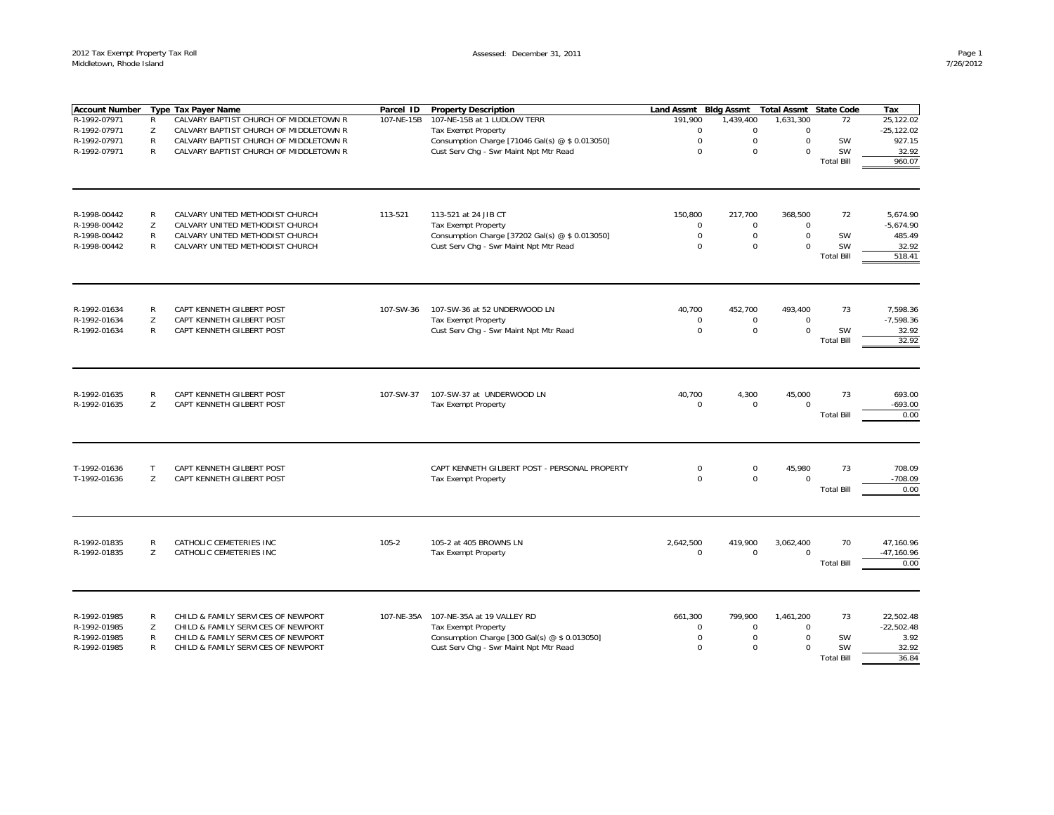| <b>Account Number</b>                                        |                             | <b>Type Tax Payer Name</b>                                                                                                                           | Parcel ID  | <b>Property Description</b>                                                                                                                  | <b>Land Assmt</b>                                 | <b>Bldg Assmt</b>                       | <b>Total Assmt</b>                               | <b>State Code</b>                          | Tax                                                 |
|--------------------------------------------------------------|-----------------------------|------------------------------------------------------------------------------------------------------------------------------------------------------|------------|----------------------------------------------------------------------------------------------------------------------------------------------|---------------------------------------------------|-----------------------------------------|--------------------------------------------------|--------------------------------------------|-----------------------------------------------------|
| R-1992-07971                                                 | R                           | CALVARY BAPTIST CHURCH OF MIDDLETOWN R                                                                                                               | 107-NE-15B | 107-NE-15B at 1 LUDLOW TERR                                                                                                                  | 191,900                                           | 1,439,400                               | 1,631,300                                        | 72                                         | 25,122.02                                           |
| R-1992-07971                                                 | Z                           | CALVARY BAPTIST CHURCH OF MIDDLETOWN R                                                                                                               |            | <b>Tax Exempt Property</b>                                                                                                                   | $\Omega$                                          | $\mathbf 0$                             | $\Omega$                                         |                                            | $-25, 122.02$                                       |
| R-1992-07971                                                 | R                           | CALVARY BAPTIST CHURCH OF MIDDLETOWN R                                                                                                               |            | Consumption Charge [71046 Gal(s) @ \$ 0.013050]                                                                                              | $\mathbf 0$                                       | $\mathbf 0$                             | $\mathbf 0$                                      | SW                                         | 927.15                                              |
| R-1992-07971                                                 | $\mathsf{R}$                | CALVARY BAPTIST CHURCH OF MIDDLETOWN R                                                                                                               |            | Cust Serv Chg - Swr Maint Npt Mtr Read                                                                                                       | $\mathbf 0$                                       | $\mathbf 0$                             | $\Omega$                                         | <b>SW</b>                                  | 32.92                                               |
|                                                              |                             |                                                                                                                                                      |            |                                                                                                                                              |                                                   |                                         |                                                  | <b>Total Bill</b>                          | 960.07                                              |
|                                                              |                             |                                                                                                                                                      |            |                                                                                                                                              |                                                   |                                         |                                                  |                                            |                                                     |
| R-1998-00442                                                 | $\mathsf{R}$                | CALVARY UNITED METHODIST CHURCH                                                                                                                      | 113-521    | 113-521 at 24 JIB CT                                                                                                                         | 150,800                                           | 217,700                                 | 368,500                                          | 72                                         | 5,674.90                                            |
| R-1998-00442                                                 | Z                           | CALVARY UNITED METHODIST CHURCH                                                                                                                      |            | Tax Exempt Property                                                                                                                          | $\mathbf 0$                                       | $\mathbf 0$                             | $\Omega$                                         |                                            | $-5,674.90$                                         |
| R-1998-00442                                                 | R                           | CALVARY UNITED METHODIST CHURCH                                                                                                                      |            | Consumption Charge [37202 Gal(s) @ \$ 0.013050]                                                                                              | $\mathbf 0$                                       | $\mathbf 0$                             | $\Omega$                                         | SW                                         | 485.49                                              |
| R-1998-00442                                                 | R                           | CALVARY UNITED METHODIST CHURCH                                                                                                                      |            | Cust Serv Chg - Swr Maint Npt Mtr Read                                                                                                       | $\Omega$                                          | $\mathbf 0$                             | $\Omega$                                         | <b>SW</b>                                  | 32.92                                               |
|                                                              |                             |                                                                                                                                                      |            |                                                                                                                                              |                                                   |                                         |                                                  | <b>Total Bill</b>                          | 518.41                                              |
|                                                              |                             |                                                                                                                                                      |            |                                                                                                                                              |                                                   |                                         |                                                  |                                            |                                                     |
| R-1992-01634                                                 | R                           | CAPT KENNETH GILBERT POST                                                                                                                            | 107-SW-36  | 107-SW-36 at 52 UNDERWOOD LN                                                                                                                 | 40.700                                            | 452,700                                 | 493,400                                          | 73                                         | 7,598.36                                            |
| R-1992-01634                                                 | Z                           | CAPT KENNETH GILBERT POST                                                                                                                            |            | Tax Exempt Property                                                                                                                          | $\mathbf 0$                                       | $\mathbf 0$                             | $\mathbf 0$                                      |                                            | $-7,598.36$                                         |
| R-1992-01634                                                 | $\mathsf{R}$                | CAPT KENNETH GILBERT POST                                                                                                                            |            | Cust Serv Chg - Swr Maint Npt Mtr Read                                                                                                       | $\Omega$                                          | $\mathbf 0$                             | $\Omega$                                         | <b>SW</b>                                  | 32.92                                               |
|                                                              |                             |                                                                                                                                                      |            |                                                                                                                                              |                                                   |                                         |                                                  | <b>Total Bill</b>                          | 32.92                                               |
| R-1992-01635<br>R-1992-01635                                 | R<br>Z                      | CAPT KENNETH GILBERT POST<br>CAPT KENNETH GILBERT POST                                                                                               | 107-SW-37  | 107-SW-37 at UNDERWOOD LN<br>Tax Exempt Property                                                                                             | 40,700<br>$\Omega$                                | 4,300<br>$\mathbf 0$                    | 45,000<br>$\Omega$                               | 73<br><b>Total Bill</b>                    | 693.00<br>$-693.00$<br>0.00                         |
| T-1992-01636<br>T-1992-01636                                 | T<br>Z                      | CAPT KENNETH GILBERT POST<br>CAPT KENNETH GILBERT POST                                                                                               |            | CAPT KENNETH GILBERT POST - PERSONAL PROPERTY<br>Tax Exempt Property                                                                         | $\mathbf 0$<br>$\Omega$                           | $\mathbf 0$<br>$\mathbf 0$              | 45,980<br>$\Omega$                               | 73<br><b>Total Bill</b>                    | 708.09<br>$-708.09$<br>0.00                         |
| R-1992-01835<br>R-1992-01835                                 | R<br>Z                      | CATHOLIC CEMETERIES INC<br>CATHOLIC CEMETERIES INC                                                                                                   | $105 - 2$  | 105-2 at 405 BROWNS LN<br><b>Tax Exempt Property</b>                                                                                         | 2,642,500<br>$\mathbf 0$                          | 419,900<br>$\mathbf 0$                  | 3,062,400<br>$\Omega$                            | 70<br><b>Total Bill</b>                    | 47,160.96<br>$-47, 160.96$<br>0.00                  |
| R-1992-01985<br>R-1992-01985<br>R-1992-01985<br>R-1992-01985 | R<br>Z<br>R<br>$\mathsf{R}$ | CHILD & FAMILY SERVICES OF NEWPORT<br>CHILD & FAMILY SERVICES OF NEWPORT<br>CHILD & FAMILY SERVICES OF NEWPORT<br>CHILD & FAMILY SERVICES OF NEWPORT | 107-NE-35A | 107-NE-35A at 19 VALLEY RD<br>Tax Exempt Property<br>Consumption Charge [300 Gal(s) @ \$ 0.013050]<br>Cust Serv Chg - Swr Maint Npt Mtr Read | 661,300<br>$\mathbf 0$<br>$\mathbf 0$<br>$\Omega$ | 799,900<br>$\mathbf 0$<br>0<br>$\Omega$ | 1,461,200<br>$\mathbf 0$<br>$\Omega$<br>$\Omega$ | 73<br>SW<br><b>SW</b><br><b>Total Bill</b> | 22,502.48<br>$-22,502.48$<br>3.92<br>32.92<br>36.84 |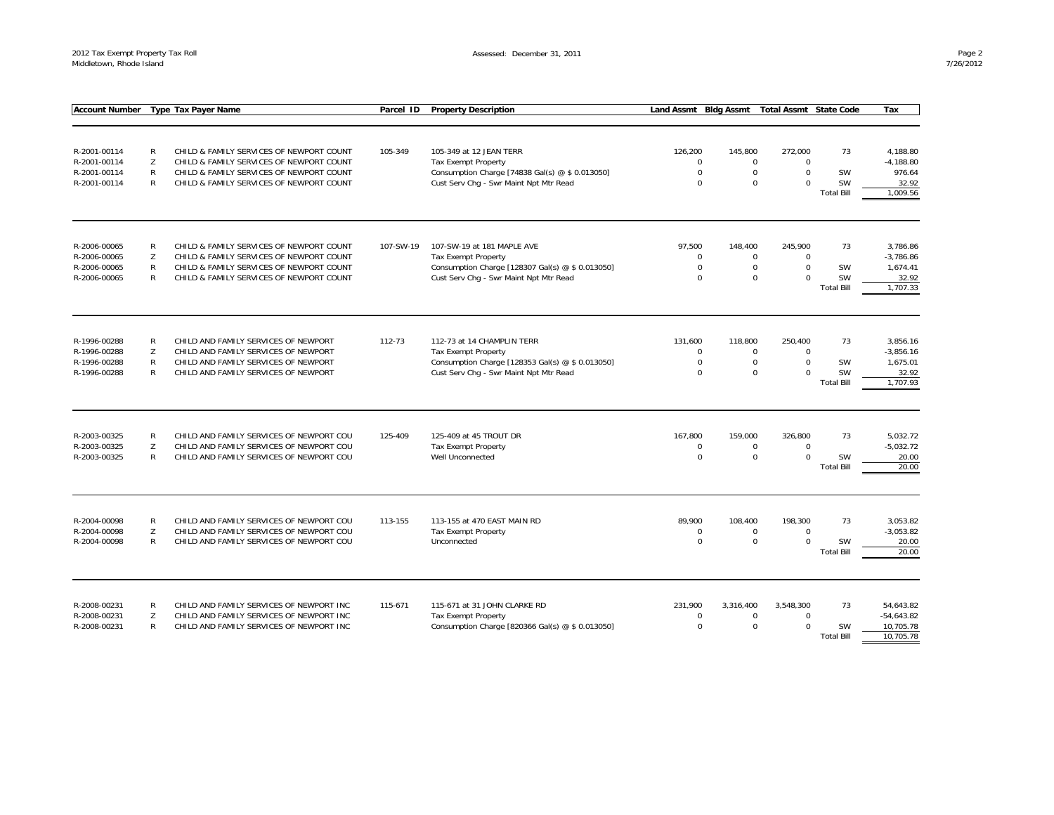| <b>Account Number</b>                                        |                                   | <b>Type Tax Payer Name</b>                                                                                                                                                   | Parcel ID | <b>Property Description</b>                                                                                                                            | Land Assmt Bldg Assmt                       |                                                      | <b>Total Assmt State Code</b>                  |                                            | Tax                                                      |
|--------------------------------------------------------------|-----------------------------------|------------------------------------------------------------------------------------------------------------------------------------------------------------------------------|-----------|--------------------------------------------------------------------------------------------------------------------------------------------------------|---------------------------------------------|------------------------------------------------------|------------------------------------------------|--------------------------------------------|----------------------------------------------------------|
|                                                              |                                   |                                                                                                                                                                              |           |                                                                                                                                                        |                                             |                                                      |                                                |                                            |                                                          |
| R-2001-00114<br>R-2001-00114<br>R-2001-00114<br>R-2001-00114 | R<br>Z<br>$\mathsf{R}$<br>R       | CHILD & FAMILY SERVICES OF NEWPORT COUNT<br>CHILD & FAMILY SERVICES OF NEWPORT COUNT<br>CHILD & FAMILY SERVICES OF NEWPORT COUNT<br>CHILD & FAMILY SERVICES OF NEWPORT COUNT | 105-349   | 105-349 at 12 JEAN TERR<br>Tax Exempt Property<br>Consumption Charge [74838 Gal(s) @ \$ 0.013050]<br>Cust Serv Chq - Swr Maint Npt Mtr Read            | 126,200<br>$\Omega$<br>$\Omega$<br>$\Omega$ | 145,800<br>$\mathbf 0$<br>$\mathbf 0$<br>$\Omega$    | 272,000<br>$\Omega$<br>$\Omega$<br>$\Omega$    | 73<br>SW<br>SW<br><b>Total Bill</b>        | 4,188.80<br>$-4,188.80$<br>976.64<br>32.92<br>1,009.56   |
| R-2006-00065<br>R-2006-00065<br>R-2006-00065<br>R-2006-00065 | R<br>Z<br>R<br>R                  | CHILD & FAMILY SERVICES OF NEWPORT COUNT<br>CHILD & FAMILY SERVICES OF NEWPORT COUNT<br>CHILD & FAMILY SERVICES OF NEWPORT COUNT<br>CHILD & FAMILY SERVICES OF NEWPORT COUNT | 107-SW-19 | 107-SW-19 at 181 MAPLE AVE<br><b>Tax Exempt Property</b><br>Consumption Charge [128307 Gal(s) @ \$ 0.013050]<br>Cust Serv Chq - Swr Maint Npt Mtr Read | 97,500<br>$\Omega$<br>0<br>$\Omega$         | 148,400<br>$\mathbf 0$<br>$\mathbf 0$<br>$\mathbf 0$ | 245,900<br>$\Omega$<br>$\mathbf 0$<br>$\Omega$ | 73<br><b>SW</b><br>SW<br><b>Total Bill</b> | 3,786.86<br>$-3,786.86$<br>1,674.41<br>32.92<br>1.707.33 |
| R-1996-00288<br>R-1996-00288<br>R-1996-00288<br>R-1996-00288 | R<br>Z<br>$\mathsf{R}$<br>R       | CHILD AND FAMILY SERVICES OF NEWPORT<br>CHILD AND FAMILY SERVICES OF NEWPORT<br>CHILD AND FAMILY SERVICES OF NEWPORT<br>CHILD AND FAMILY SERVICES OF NEWPORT                 | 112-73    | 112-73 at 14 CHAMPLIN TERR<br>Tax Exempt Property<br>Consumption Charge [128353 Gal(s) @ \$ 0.013050]<br>Cust Serv Chg - Swr Maint Npt Mtr Read        | 131,600<br>0<br>$\Omega$<br>$\Omega$        | 118,800<br>$\mathbf 0$<br>$\mathbf 0$<br>$\mathbf 0$ | 250,400<br>$\mathbf 0$<br>$\Omega$<br>$\Omega$ | 73<br>SW<br>SW<br><b>Total Bill</b>        | 3,856.16<br>$-3,856.16$<br>1,675.01<br>32.92<br>1,707.93 |
| R-2003-00325<br>R-2003-00325<br>R-2003-00325                 | $\mathsf{R}$<br>Z<br>$\mathsf{R}$ | CHILD AND FAMILY SERVICES OF NEWPORT COU<br>CHILD AND FAMILY SERVICES OF NEWPORT COU<br>CHILD AND FAMILY SERVICES OF NEWPORT COU                                             | 125-409   | 125-409 at 45 TROUT DR<br>Tax Exempt Property<br>Well Unconnected                                                                                      | 167,800<br>0<br>$\Omega$                    | 159,000<br>$\mathbf 0$<br>$\mathbf 0$                | 326,800<br>$\mathbf 0$<br>$\mathbf 0$          | 73<br>SW<br><b>Total Bill</b>              | 5,032.72<br>$-5,032.72$<br>20.00<br>20.00                |
| R-2004-00098<br>R-2004-00098<br>R-2004-00098                 | R<br>Z<br>$\mathsf{R}$            | CHILD AND FAMILY SERVICES OF NEWPORT COU<br>CHILD AND FAMILY SERVICES OF NEWPORT COU<br>CHILD AND FAMILY SERVICES OF NEWPORT COU                                             | 113-155   | 113-155 at 470 EAST MAIN RD<br><b>Tax Exempt Property</b><br>Unconnected                                                                               | 89,900<br>0<br>$\Omega$                     | 108,400<br>$\mathbf 0$<br>$\Omega$                   | 198,300<br>$\mathsf 0$<br>$\Omega$             | 73<br>SW<br><b>Total Bill</b>              | 3,053.82<br>$-3,053.82$<br>20.00<br>20.00                |
| R-2008-00231<br>R-2008-00231<br>R-2008-00231                 | $\mathsf{R}$<br>Z<br>R            | CHILD AND FAMILY SERVICES OF NEWPORT INC<br>CHILD AND FAMILY SERVICES OF NEWPORT INC<br>CHILD AND FAMILY SERVICES OF NEWPORT INC                                             | 115-671   | 115-671 at 31 JOHN CLARKE RD<br><b>Tax Exempt Property</b><br>Consumption Charge [820366 Gal(s) @ \$ 0.013050]                                         | 231,900<br>$\Omega$<br>$\mathbf 0$          | 3,316,400<br>$\mathbf 0$<br>$\mathbf 0$              | 3,548,300<br>$\Omega$<br>$\Omega$              | 73<br>SW<br><b>Total Bill</b>              | 54,643.82<br>$-54,643.82$<br>10,705.78<br>10.705.78      |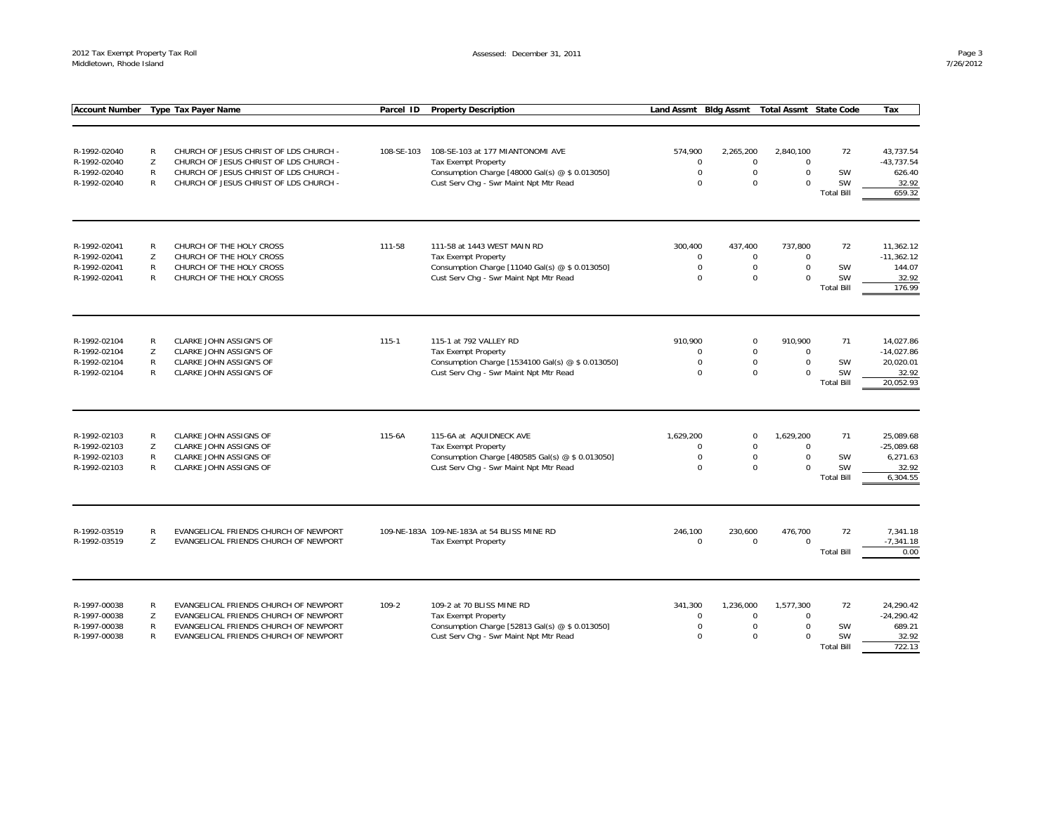| <b>Account Number</b> |              | <b>Type Tax Payer Name</b>             | Parcel ID  | <b>Property Description</b>                       | Land Assmt Bldg Assmt |                  | <b>Total Assmt State Code</b> |                                | Tax                |
|-----------------------|--------------|----------------------------------------|------------|---------------------------------------------------|-----------------------|------------------|-------------------------------|--------------------------------|--------------------|
|                       |              |                                        |            |                                                   |                       |                  |                               |                                |                    |
|                       |              |                                        |            |                                                   |                       |                  |                               |                                |                    |
| R-1992-02040          | R            | CHURCH OF JESUS CHRIST OF LDS CHURCH - | 108-SE-103 | 108-SE-103 at 177 MIANTONOMI AVE                  | 574,900               | 2,265,200        | 2,840,100                     | 72                             | 43,737.54          |
| R-1992-02040          | Z            | CHURCH OF JESUS CHRIST OF LDS CHURCH - |            | Tax Exempt Property                               | $\mathbf 0$           | $\mathbf 0$      | $\mathbf 0$                   |                                | $-43,737.54$       |
| R-1992-02040          | $\mathsf{R}$ | CHURCH OF JESUS CHRIST OF LDS CHURCH - |            | Consumption Charge [48000 Gal(s) @ \$ 0.013050]   | $\mathbf 0$           | $\mathbf 0$      | $\Omega$                      | SW                             | 626.40             |
| R-1992-02040          | R            | CHURCH OF JESUS CHRIST OF LDS CHURCH - |            | Cust Serv Chg - Swr Maint Npt Mtr Read            | $\Omega$              | $\mathbf 0$      | $\Omega$                      | <b>SW</b>                      | 32.92              |
|                       |              |                                        |            |                                                   |                       |                  |                               | <b>Total Bill</b>              | 659.32             |
|                       |              |                                        |            |                                                   |                       |                  |                               |                                |                    |
| R-1992-02041          | ${\sf R}$    | CHURCH OF THE HOLY CROSS               | 111-58     | 111-58 at 1443 WEST MAIN RD                       | 300,400               | 437,400          | 737,800                       | 72                             | 11,362.12          |
| R-1992-02041          | Z            | CHURCH OF THE HOLY CROSS               |            | <b>Tax Exempt Property</b>                        | 0                     | $\mathbf 0$      | $\mathbf 0$                   |                                | $-11,362.12$       |
| R-1992-02041          | $\mathsf{R}$ | CHURCH OF THE HOLY CROSS               |            | Consumption Charge [11040 Gal(s) @ \$ 0.013050]   | $\mathbf 0$           | $\mathbf 0$      | $\Omega$                      | SW                             | 144.07             |
| R-1992-02041          | $\mathsf{R}$ | CHURCH OF THE HOLY CROSS               |            | Cust Serv Chg - Swr Maint Npt Mtr Read            | $\Omega$              | $\Omega$         | $\Omega$                      | <b>SW</b><br><b>Total Bill</b> | 32.92<br>176.99    |
|                       |              |                                        |            |                                                   |                       |                  |                               |                                |                    |
| R-1992-02104          | R            | CLARKE JOHN ASSIGN'S OF                | 115-1      | 115-1 at 792 VALLEY RD                            | 910,900               | $\boldsymbol{0}$ | 910,900                       | 71                             | 14,027.86          |
| R-1992-02104          | Z            | CLARKE JOHN ASSIGN'S OF                |            | Tax Exempt Property                               | $\Omega$              | $\mathbf 0$      | $\mathbf 0$                   |                                | $-14,027.86$       |
| R-1992-02104          | $\mathsf{R}$ | CLARKE JOHN ASSIGN'S OF                |            | Consumption Charge [1534100 Gal(s) @ \$ 0.013050] | $\Omega$              | $\mathsf{O}$     | $\mathbf 0$                   | SW                             | 20,020.01          |
| R-1992-02104          | R            | CLARKE JOHN ASSIGN'S OF                |            | Cust Serv Chq - Swr Maint Npt Mtr Read            | $\Omega$              | $\mathbf 0$      | $\Omega$                      | SW<br><b>Total Bill</b>        | 32.92<br>20,052.93 |
|                       |              |                                        |            |                                                   |                       |                  |                               |                                |                    |
| R-1992-02103          | R            | CLARKE JOHN ASSIGNS OF                 | 115-6A     | 115-6A at AQUIDNECK AVE                           | 1,629,200             | $\mathbf 0$      | 1,629,200                     | 71                             | 25,089.68          |
| R-1992-02103          | Z            | CLARKE JOHN ASSIGNS OF                 |            | <b>Tax Exempt Property</b>                        | $\Omega$              | $\mathbf 0$      | $\Omega$                      |                                | $-25,089.68$       |
| R-1992-02103          | R            | CLARKE JOHN ASSIGNS OF                 |            | Consumption Charge [480585 Gal(s) @ \$ 0.013050]  | $\mathbf 0$           | $\mathbf 0$      | $\mathbf 0$                   | <b>SW</b>                      | 6,271.63           |
| R-1992-02103          | $\mathsf{R}$ | <b>CLARKE JOHN ASSIGNS OF</b>          |            | Cust Serv Chg - Swr Maint Npt Mtr Read            | $\Omega$              | $\mathbf 0$      | $\Omega$                      | <b>SW</b><br><b>Total Bill</b> | 32.92<br>6,304.55  |
|                       |              |                                        |            |                                                   |                       |                  |                               |                                |                    |
| R-1992-03519          | R            | EVANGELICAL FRIENDS CHURCH OF NEWPORT  |            | 109-NE-183A 109-NE-183A at 54 BLISS MINE RD       | 246,100               | 230,600          | 476,700                       | 72                             | 7,341.18           |
| R-1992-03519          | Z            | EVANGELICAL FRIENDS CHURCH OF NEWPORT  |            | Tax Exempt Property                               | $\mathbf 0$           | $\mathbf 0$      | $\Omega$                      |                                | $-7,341.18$        |
|                       |              |                                        |            |                                                   |                       |                  |                               | <b>Total Bill</b>              | 0.00               |
|                       |              |                                        |            |                                                   |                       |                  |                               |                                |                    |
| R-1997-00038          | $\mathsf{R}$ | EVANGELICAL FRIENDS CHURCH OF NEWPORT  | $109 - 2$  | 109-2 at 70 BLISS MINE RD                         | 341,300               | 1,236,000        | 1,577,300                     | 72                             | 24.290.42          |
| R-1997-00038          | Z            | EVANGELICAL FRIENDS CHURCH OF NEWPORT  |            | Tax Exempt Property                               | $\mathbf 0$           | $\mathbf 0$      | $\Omega$                      |                                | $-24,290.42$       |
| R-1997-00038          | $\mathsf{R}$ | EVANGELICAL FRIENDS CHURCH OF NEWPORT  |            | Consumption Charge [52813 Gal(s) @ \$ 0.013050]   | $\mathbf 0$           | $\mathbf 0$      | $\mathbf 0$                   | <b>SW</b>                      | 689.21             |
| R-1997-00038          | $\mathsf{R}$ | EVANGELICAL FRIENDS CHURCH OF NEWPORT  |            | Cust Serv Chg - Swr Maint Npt Mtr Read            | $\Omega$              | $\mathbf 0$      | $\Omega$                      | <b>SW</b>                      | 32.92<br>722.13    |
|                       |              |                                        |            |                                                   |                       |                  |                               | <b>Total Bill</b>              |                    |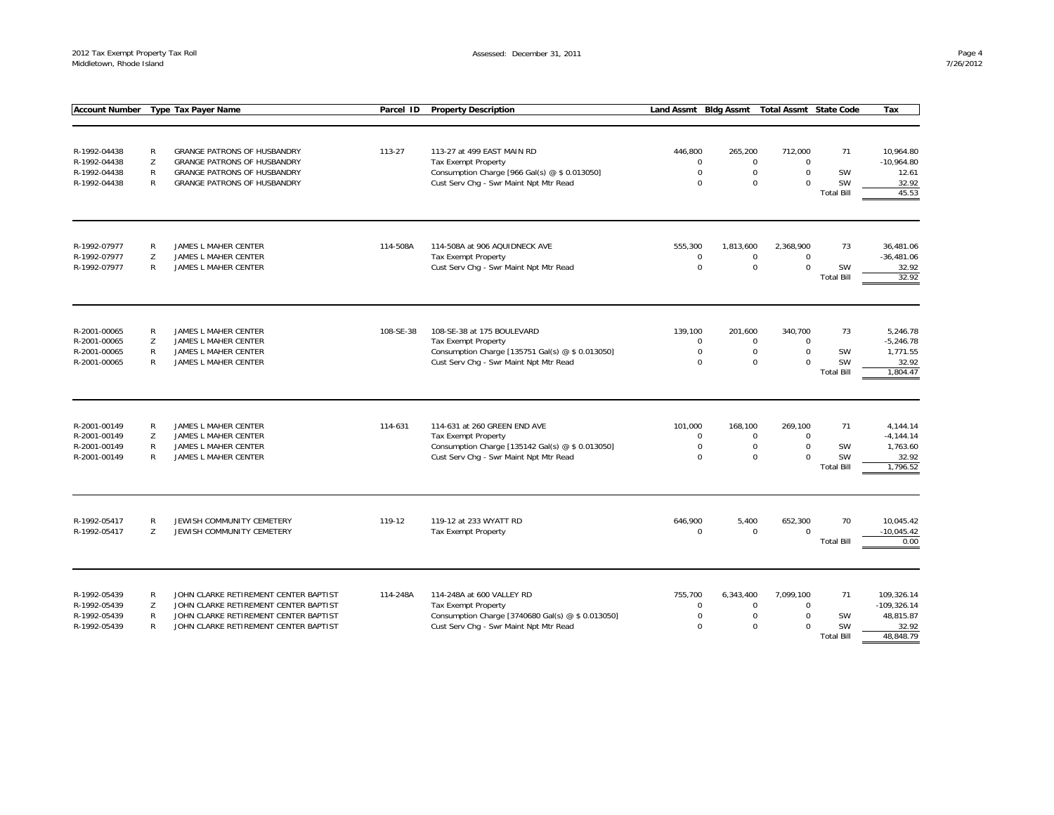| <b>Account Number</b>        |              | <b>Type Tax Payer Name</b>                   | Parcel ID | <b>Property Description</b>                                                    | <b>Land Assmt</b>          | <b>Bldg Assmt</b>          | <b>Total Assmt State Code</b> |                   | Tax                     |
|------------------------------|--------------|----------------------------------------------|-----------|--------------------------------------------------------------------------------|----------------------------|----------------------------|-------------------------------|-------------------|-------------------------|
|                              |              |                                              |           |                                                                                |                            |                            |                               |                   |                         |
|                              |              |                                              |           |                                                                                |                            |                            |                               |                   |                         |
| R-1992-04438                 | $\mathsf{R}$ | <b>GRANGE PATRONS OF HUSBANDRY</b>           | 113-27    | 113-27 at 499 EAST MAIN RD                                                     | 446,800                    | 265,200                    | 712,000                       | 71                | 10,964.80               |
| R-1992-04438                 | Z            | <b>GRANGE PATRONS OF HUSBANDRY</b>           |           | Tax Exempt Property                                                            | $\mathbf 0$                | $\mathbf 0$                | $\mathbf 0$                   |                   | $-10,964.80$            |
| R-1992-04438                 | R            | <b>GRANGE PATRONS OF HUSBANDRY</b>           |           | Consumption Charge [966 Gal(s) @ \$ 0.013050]                                  | $\mathbf 0$                | $\mathsf{O}$               | $\mathbf 0$                   | SW                | 12.61                   |
| R-1992-04438                 | R            | <b>GRANGE PATRONS OF HUSBANDRY</b>           |           | Cust Serv Chg - Swr Maint Npt Mtr Read                                         | $\Omega$                   | $\mathbf 0$                | $\Omega$                      | <b>SW</b>         | 32.92                   |
|                              |              |                                              |           |                                                                                |                            |                            |                               | <b>Total Bill</b> | 45.53                   |
|                              |              |                                              |           |                                                                                |                            |                            |                               |                   |                         |
| R-1992-07977                 | R            | JAMES L MAHER CENTER                         | 114-508A  | 114-508A at 906 AQUIDNECK AVE                                                  | 555,300                    | 1,813,600                  | 2,368,900                     | 73                | 36,481.06               |
| R-1992-07977                 | Z            | JAMES L MAHER CENTER                         |           | Tax Exempt Property                                                            | $\mathbf 0$                | $\mathbf 0$                | $\Omega$                      |                   | $-36,481.06$            |
| R-1992-07977                 | R            | JAMES L MAHER CENTER                         |           | Cust Serv Chg - Swr Maint Npt Mtr Read                                         | $\mathbf 0$                | $\mathbf 0$                | $\mathbf 0$                   | SW                | 32.92                   |
|                              |              |                                              |           |                                                                                |                            |                            |                               | <b>Total Bill</b> | 32.92                   |
|                              |              |                                              |           |                                                                                |                            |                            |                               |                   |                         |
| R-2001-00065                 | R            | JAMES L MAHER CENTER                         | 108-SE-38 | 108-SE-38 at 175 BOULEVARD                                                     | 139,100                    | 201,600                    | 340,700                       | 73                | 5,246.78                |
| R-2001-00065<br>R-2001-00065 | Z<br>R       | JAMES L MAHER CENTER<br>JAMES L MAHER CENTER |           | <b>Tax Exempt Property</b><br>Consumption Charge [135751 Gal(s) @ \$ 0.013050] | $\mathsf 0$<br>$\mathbf 0$ | $\mathsf 0$<br>$\mathbf 0$ | $\Omega$<br>$\mathbf 0$       | SW                | $-5,246.78$<br>1,771.55 |
| R-2001-00065                 | R            | JAMES L MAHER CENTER                         |           | Cust Serv Chg - Swr Maint Npt Mtr Read                                         | $\mathbf 0$                | $\mathbf 0$                | $\Omega$                      | <b>SW</b>         | 32.92                   |
|                              |              |                                              |           |                                                                                |                            |                            |                               | <b>Total Bill</b> | 1.804.47                |
|                              |              |                                              |           |                                                                                |                            |                            |                               |                   |                         |
| R-2001-00149                 | R            | JAMES L MAHER CENTER                         | 114-631   | 114-631 at 260 GREEN END AVE                                                   | 101,000                    | 168,100                    | 269,100                       | 71                | 4,144.14                |
| R-2001-00149                 | Z            | JAMES L MAHER CENTER                         |           | <b>Tax Exempt Property</b>                                                     | $\Omega$                   | $\mathbf 0$                | $\Omega$                      |                   | $-4, 144.14$            |
| R-2001-00149                 | R            | JAMES L MAHER CENTER                         |           | Consumption Charge [135142 Gal(s) @ \$ 0.013050]                               | 0                          | $\mathbf 0$                | $\mathbf 0$                   | SW                | 1,763.60                |
| R-2001-00149                 | R            | JAMES L MAHER CENTER                         |           | Cust Serv Chg - Swr Maint Npt Mtr Read                                         | $\Omega$                   | $\Omega$                   | $\Omega$                      | SW                | 32.92                   |
|                              |              |                                              |           |                                                                                |                            |                            |                               | <b>Total Bill</b> | 1,796.52                |
| R-1992-05417                 | R            | JEWISH COMMUNITY CEMETERY                    | 119-12    | 119-12 at 233 WYATT RD                                                         | 646,900                    | 5,400                      | 652,300                       | 70                | 10,045.42               |
| R-1992-05417                 | Z            | JEWISH COMMUNITY CEMETERY                    |           | Tax Exempt Property                                                            | $\mathsf 0$                | $\mathbf 0$                | $\mathbf 0$                   |                   | $-10,045.42$            |
|                              |              |                                              |           |                                                                                |                            |                            |                               | <b>Total Bill</b> | 0.00                    |
|                              |              |                                              |           |                                                                                |                            |                            |                               |                   |                         |
| R-1992-05439                 | R            | JOHN CLARKE RETIREMENT CENTER BAPTIST        | 114-248A  | 114-248A at 600 VALLEY RD                                                      | 755,700                    | 6,343,400                  | 7,099,100                     | 71                | 109,326.14              |
| R-1992-05439                 | Z            | JOHN CLARKE RETIREMENT CENTER BAPTIST        |           | Tax Exempt Property                                                            | $\mathbf 0$                | $\mathbf 0$                | $\mathbf 0$                   |                   | $-109,326.14$           |
| R-1992-05439                 | R            | JOHN CLARKE RETIREMENT CENTER BAPTIST        |           | Consumption Charge [3740680 Gal(s) @ \$ 0.013050]                              | $\mathbf 0$                | $\mathbf 0$                | $\Omega$                      | SW                | 48,815.87               |
| R-1992-05439                 | R            | JOHN CLARKE RETIREMENT CENTER BAPTIST        |           | Cust Serv Chg - Swr Maint Npt Mtr Read                                         | $\mathbf 0$                | $\Omega$                   | $\Omega$                      | SW                | 32.92                   |
|                              |              |                                              |           |                                                                                |                            |                            |                               | <b>Total Bill</b> | 48.848.79               |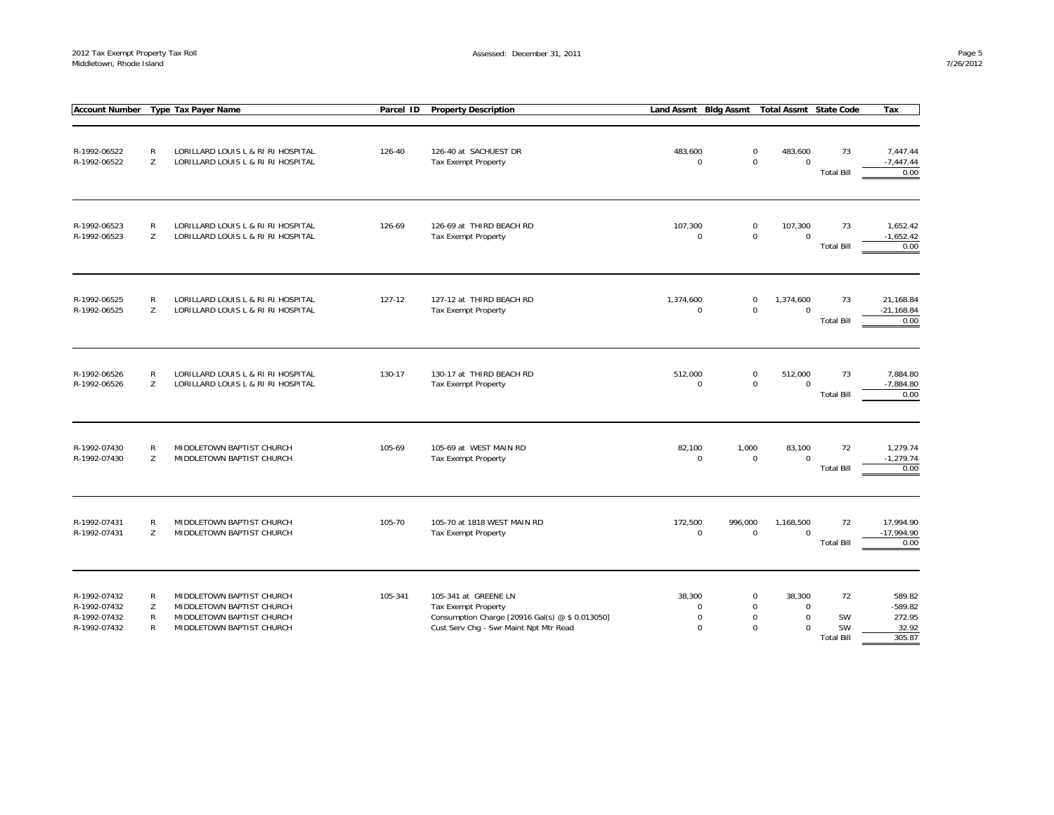| <b>Account Number</b>                                        |                  | Type Tax Payer Name                                                                                              | Parcel ID | <b>Property Description</b>                                                                                                              | Land Assmt Bldg Assmt                            |         | <b>Total Assmt State Code</b>                                                                             |                                            | Tax                                              |
|--------------------------------------------------------------|------------------|------------------------------------------------------------------------------------------------------------------|-----------|------------------------------------------------------------------------------------------------------------------------------------------|--------------------------------------------------|---------|-----------------------------------------------------------------------------------------------------------|--------------------------------------------|--------------------------------------------------|
| R-1992-06522<br>R-1992-06522                                 | R<br>Z           | LORILLARD LOUIS L & RI RI HOSPITAL<br>LORILLARD LOUIS L & RI RI HOSPITAL                                         | 126-40    | 126-40 at SACHUEST DR<br>Tax Exempt Property                                                                                             | 483,600<br>$\mathbf 0$                           |         | $\mathbf 0$<br>483,600<br>$\mathbf 0$<br>$\mathbf 0$                                                      | 73<br><b>Total Bill</b>                    | 7,447.44<br>$-7,447.44$<br>0.00                  |
| R-1992-06523<br>R-1992-06523                                 | R<br>Z           | LORILLARD LOUIS L & RI RI HOSPITAL<br>LORILLARD LOUIS L & RI RI HOSPITAL                                         | 126-69    | 126-69 at THIRD BEACH RD<br>Tax Exempt Property                                                                                          | 107,300<br>$\mathbf 0$                           |         | 107,300<br>$\mathsf{O}\xspace$<br>$\mathsf 0$<br>$\mathbf 0$                                              | 73<br><b>Total Bill</b>                    | 1,652.42<br>$-1,652.42$<br>0.00                  |
| R-1992-06525<br>R-1992-06525                                 | R<br>Z           | LORILLARD LOUIS L & RI RI HOSPITAL<br>LORILLARD LOUIS L & RI RI HOSPITAL                                         | 127-12    | 127-12 at THIRD BEACH RD<br>Tax Exempt Property                                                                                          | 1,374,600<br>$\mathbf 0$                         |         | $\mathsf{O}\xspace$<br>1,374,600<br>$\mathbf 0$<br>$\mathbf 0$                                            | 73<br><b>Total Bill</b>                    | 21,168.84<br>$-21,168.84$<br>0.00                |
| R-1992-06526<br>R-1992-06526                                 | R<br>Z           | LORILLARD LOUIS L & RI RI HOSPITAL<br>LORILLARD LOUIS L & RI RI HOSPITAL                                         | 130-17    | 130-17 at THIRD BEACH RD<br>Tax Exempt Property                                                                                          | 512,000<br>$\mathbf 0$                           |         | $\mathsf{O}\xspace$<br>512,000<br>$\mathbf 0$<br>$\mathbf 0$                                              | 73<br><b>Total Bill</b>                    | 7,884.80<br>$-7,884.80$<br>0.00                  |
| R-1992-07430<br>R-1992-07430                                 | R<br>Z           | MIDDLETOWN BAPTIST CHURCH<br>MIDDLETOWN BAPTIST CHURCH                                                           | 105-69    | 105-69 at WEST MAIN RD<br>Tax Exempt Property                                                                                            | 82,100<br>$\mathbf 0$                            | 1,000   | 83,100<br>$\mathsf 0$<br>$\Omega$                                                                         | 72<br><b>Total Bill</b>                    | 1,279.74<br>$-1,279.74$<br>0.00                  |
| R-1992-07431<br>R-1992-07431                                 | R<br>Z           | MIDDLETOWN BAPTIST CHURCH<br>MIDDLETOWN BAPTIST CHURCH                                                           | 105-70    | 105-70 at 1818 WEST MAIN RD<br>Tax Exempt Property                                                                                       | 172,500<br>$\mathbf 0$                           | 996,000 | 1,168,500<br>$\mathbf 0$<br>$\mathbf 0$                                                                   | 72<br><b>Total Bill</b>                    | 17,994.90<br>$-17,994.90$<br>0.00                |
| R-1992-07432<br>R-1992-07432<br>R-1992-07432<br>R-1992-07432 | R<br>Z<br>R<br>R | MIDDLETOWN BAPTIST CHURCH<br>MIDDLETOWN BAPTIST CHURCH<br>MIDDLETOWN BAPTIST CHURCH<br>MIDDLETOWN BAPTIST CHURCH | 105-341   | 105-341 at GREENE LN<br>Tax Exempt Property<br>Consumption Charge [20916 Gal(s) @ \$ 0.013050]<br>Cust Serv Chg - Swr Maint Npt Mtr Read | 38,300<br>$\mathbf 0$<br>$\mathbf 0$<br>$\Omega$ |         | $\mathbf 0$<br>38,300<br>$\mathbf 0$<br>$\mathbf 0$<br>$\mathbf 0$<br>$\mathbf 0$<br>$\Omega$<br>$\Omega$ | 72<br>SW<br><b>SW</b><br><b>Total Bill</b> | 589.82<br>$-589.82$<br>272.95<br>32.92<br>305.87 |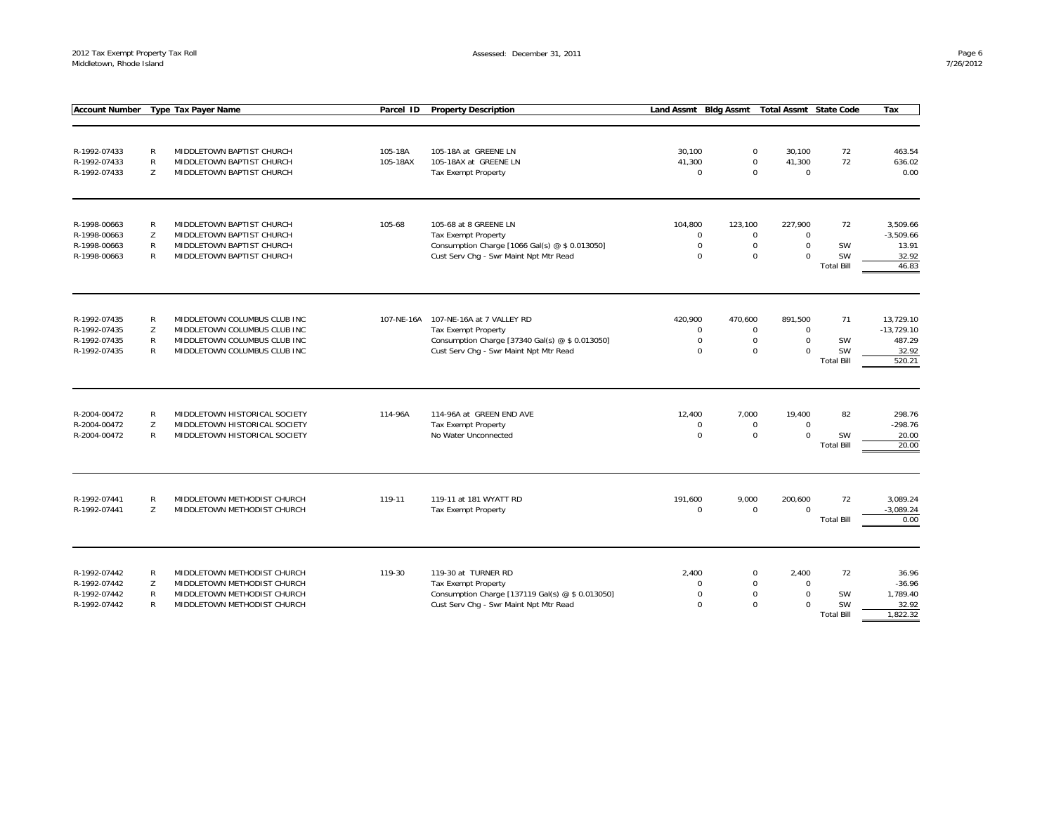Assessed: December 31, 2011

| <b>Account Number</b>                        |                                   | <b>Type Tax Payer Name</b>                                                                      | Parcel ID  | <b>Property Description</b>                                             | <b>Land Assmt</b>             | <b>Bldg Assmt</b>                | <b>Total Assmt State Code</b>     |                                | Tax                                   |
|----------------------------------------------|-----------------------------------|-------------------------------------------------------------------------------------------------|------------|-------------------------------------------------------------------------|-------------------------------|----------------------------------|-----------------------------------|--------------------------------|---------------------------------------|
|                                              |                                   |                                                                                                 |            |                                                                         |                               |                                  |                                   |                                |                                       |
| R-1992-07433                                 | $\mathsf{R}$                      | MIDDLETOWN BAPTIST CHURCH                                                                       | 105-18A    | 105-18A at GREENE LN                                                    | 30,100                        | $\mathsf 0$                      | 30,100                            | 72                             | 463.54                                |
| R-1992-07433                                 | $\mathsf{R}$                      | MIDDLETOWN BAPTIST CHURCH                                                                       | 105-18AX   | 105-18AX at GREENE LN                                                   | 41,300                        | $\Omega$                         | 41,300                            | 72                             | 636.02                                |
| R-1992-07433                                 | Z                                 | MIDDLETOWN BAPTIST CHURCH                                                                       |            | Tax Exempt Property                                                     | $\mathsf 0$                   | $\Omega$                         | $\mathbf 0$                       |                                | 0.00                                  |
| R-1998-00663                                 | $\mathsf{R}$                      | MIDDLETOWN BAPTIST CHURCH                                                                       | 105-68     | 105-68 at 8 GREENE LN                                                   | 104,800                       | 123,100                          | 227,900                           | 72                             | 3,509.66                              |
| R-1998-00663                                 | Z                                 | MIDDLETOWN BAPTIST CHURCH                                                                       |            | <b>Tax Exempt Property</b>                                              | $\mathbf 0$                   | $\mathsf 0$                      | $\mathbf 0$                       |                                | $-3,509.66$                           |
| R-1998-00663                                 | $\mathsf{R}$                      | MIDDLETOWN BAPTIST CHURCH                                                                       |            | Consumption Charge [1066 Gal(s) @ \$ 0.013050]                          | $\mathsf 0$                   | $\mathbf 0$                      | $\mathbf 0$                       | <b>SW</b>                      | 13.91                                 |
| R-1998-00663                                 | $\mathsf{R}$                      | MIDDLETOWN BAPTIST CHURCH                                                                       |            | Cust Serv Chg - Swr Maint Npt Mtr Read                                  | $\mathbf 0$                   | $\mathbf 0$                      | $\mathbf 0$                       | SW<br><b>Total Bill</b>        | 32.92<br>46.83                        |
| R-1992-07435                                 | $\mathsf{R}$                      |                                                                                                 | 107-NE-16A | 107-NE-16A at 7 VALLEY RD                                               | 420,900                       | 470,600                          | 891,500                           | 71                             | 13,729.10                             |
| R-1992-07435                                 | Z                                 | MIDDLETOWN COLUMBUS CLUB INC<br>MIDDLETOWN COLUMBUS CLUB INC                                    |            | <b>Tax Exempt Property</b>                                              | $\overline{0}$                | $\mathbf 0$                      | $\mathbf 0$                       |                                | $-13,729.10$                          |
| R-1992-07435                                 | $\mathsf{R}$                      | MIDDLETOWN COLUMBUS CLUB INC                                                                    |            | Consumption Charge [37340 Gal(s) @ \$ 0.013050]                         | $\overline{0}$                | $\mathbf 0$                      | $\mathbf 0$                       | SW                             | 487.29                                |
| R-1992-07435                                 | $\mathsf{R}$                      | MIDDLETOWN COLUMBUS CLUB INC                                                                    |            | Cust Serv Chg - Swr Maint Npt Mtr Read                                  | $\Omega$                      | $\mathbf 0$                      | $\Omega$                          | <b>SW</b><br><b>Total Bill</b> | 32.92<br>520.21                       |
| R-2004-00472<br>R-2004-00472<br>R-2004-00472 | $\mathsf{R}$<br>Z<br>$\mathsf{R}$ | MIDDLETOWN HISTORICAL SOCIETY<br>MIDDLETOWN HISTORICAL SOCIETY<br>MIDDLETOWN HISTORICAL SOCIETY | 114-96A    | 114-96A at GREEN END AVE<br>Tax Exempt Property<br>No Water Unconnected | 12,400<br>$\Omega$<br>$\bf 0$ | 7,000<br>$\Omega$<br>$\mathbf 0$ | 19,400<br>$\Omega$<br>$\mathbf 0$ | 82<br>SW<br><b>Total Bill</b>  | 298.76<br>$-298.76$<br>20.00<br>20.00 |
| R-1992-07441<br>R-1992-07441                 | ${\sf R}$<br>Z                    | MIDDLETOWN METHODIST CHURCH<br>MIDDLETOWN METHODIST CHURCH                                      | 119-11     | 119-11 at 181 WYATT RD<br>Tax Exempt Property                           | 191,600<br>$\Omega$           | 9,000<br>$\mathbf 0$             | 200,600<br>$\mathbf 0$            | 72<br><b>Total Bill</b>        | 3,089.24<br>$-3,089.24$<br>0.00       |
| R-1992-07442<br>R-1992-07442                 | $\mathsf{R}$<br>Z                 | MIDDLETOWN METHODIST CHURCH<br>MIDDLETOWN METHODIST CHURCH                                      | 119-30     | 119-30 at TURNER RD<br><b>Tax Exempt Property</b>                       | 2,400<br>$\Omega$             | $\mathbf 0$<br>$\Omega$          | 2,400<br>$\mathbf 0$              | 72                             | 36.96<br>$-36.96$                     |
| R-1992-07442                                 | $\mathsf{R}$                      | MIDDLETOWN METHODIST CHURCH                                                                     |            | Consumption Charge [137119 Gal(s) @ \$ 0.013050]                        | $\overline{0}$                | $\mathbf 0$                      | $\mathbf 0$                       | <b>SW</b>                      | 1,789.40                              |
| R-1992-07442                                 | $\mathsf{R}$                      | MIDDLETOWN METHODIST CHURCH                                                                     |            | Cust Serv Chg - Swr Maint Npt Mtr Read                                  | $\Omega$                      | $\Omega$                         | $\Omega$                          | SW                             | 32.92                                 |
|                                              |                                   |                                                                                                 |            |                                                                         |                               |                                  |                                   | <b>Total Bill</b>              | 1,822.32                              |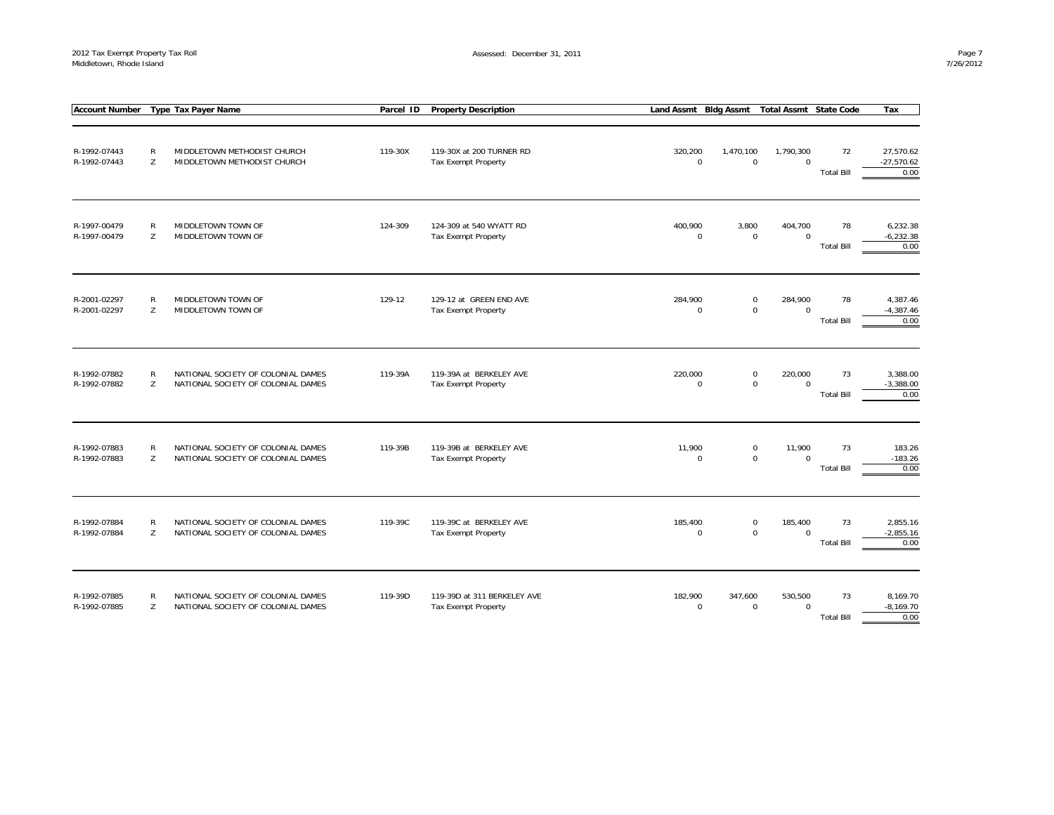| <b>Account Number</b>        |                   | Type Tax Payer Name                                                      | Parcel ID | <b>Property Description</b>                               | Land Assmt Bldg Assmt  |                                            | <b>Total Assmt State Code</b> |                         | Tax                               |
|------------------------------|-------------------|--------------------------------------------------------------------------|-----------|-----------------------------------------------------------|------------------------|--------------------------------------------|-------------------------------|-------------------------|-----------------------------------|
| R-1992-07443<br>R-1992-07443 | ${\sf R}$<br>Z    | MIDDLETOWN METHODIST CHURCH<br>MIDDLETOWN METHODIST CHURCH               | 119-30X   | 119-30X at 200 TURNER RD<br><b>Tax Exempt Property</b>    | 320,200<br>$\mathbf 0$ | 1,470,100<br>$\mathbf 0$                   | 1,790,300<br>$\mathbf 0$      | 72<br><b>Total Bill</b> | 27,570.62<br>$-27,570.62$<br>0.00 |
| R-1997-00479<br>R-1997-00479 | $\mathsf{R}$<br>Z | MIDDLETOWN TOWN OF<br>MIDDLETOWN TOWN OF                                 | 124-309   | 124-309 at 540 WYATT RD<br><b>Tax Exempt Property</b>     | 400,900<br>$\mathbf 0$ | 3,800<br>$\mathsf{O}\xspace$               | 404,700<br>$\mathbf 0$        | 78<br><b>Total Bill</b> | 6,232.38<br>$-6,232.38$<br>0.00   |
| R-2001-02297<br>R-2001-02297 | R<br>Z            | MIDDLETOWN TOWN OF<br>MIDDLETOWN TOWN OF                                 | 129-12    | 129-12 at GREEN END AVE<br><b>Tax Exempt Property</b>     | 284,900<br>$\mathbf 0$ | 0<br>$\mathbf 0$                           | 284,900<br>$\mathbf{0}$       | 78<br><b>Total Bill</b> | 4,387.46<br>$-4,387.46$<br>0.00   |
| R-1992-07882<br>R-1992-07882 | $\mathsf{R}$<br>Z | NATIONAL SOCIETY OF COLONIAL DAMES<br>NATIONAL SOCIETY OF COLONIAL DAMES | 119-39A   | 119-39A at BERKELEY AVE<br>Tax Exempt Property            | 220,000<br>$\mathbf 0$ | $\mathsf{O}\xspace$<br>$\mathsf{O}\xspace$ | 220,000<br>$\mathbf 0$        | 73<br><b>Total Bill</b> | 3,388.00<br>$-3,388.00$<br>0.00   |
| R-1992-07883<br>R-1992-07883 | R<br>Z            | NATIONAL SOCIETY OF COLONIAL DAMES<br>NATIONAL SOCIETY OF COLONIAL DAMES | 119-39B   | 119-39B at BERKELEY AVE<br>Tax Exempt Property            | 11,900<br>$\mathbf 0$  | $\mathsf{O}\xspace$<br>$\mathbf 0$         | 11,900<br>$\Omega$            | 73<br><b>Total Bill</b> | 183.26<br>$-183.26$<br>0.00       |
| R-1992-07884<br>R-1992-07884 | R<br>Z            | NATIONAL SOCIETY OF COLONIAL DAMES<br>NATIONAL SOCIETY OF COLONIAL DAMES | 119-39C   | 119-39C at BERKELEY AVE<br><b>Tax Exempt Property</b>     | 185,400<br>$\pmb{0}$   | 0<br>$\mathbf 0$                           | 185,400<br>$\mathbf 0$        | 73<br><b>Total Bill</b> | 2,855.16<br>$-2,855.16$<br>0.00   |
| R-1992-07885<br>R-1992-07885 | R<br>Z            | NATIONAL SOCIETY OF COLONIAL DAMES<br>NATIONAL SOCIETY OF COLONIAL DAMES | 119-39D   | 119-39D at 311 BERKELEY AVE<br><b>Tax Exempt Property</b> | 182,900<br>$\mathbf 0$ | 347,600<br>$\mathbf 0$                     | 530,500<br>$\mathbf 0$        | 73<br><b>Total Bill</b> | 8,169.70<br>$-8,169.70$<br>0.00   |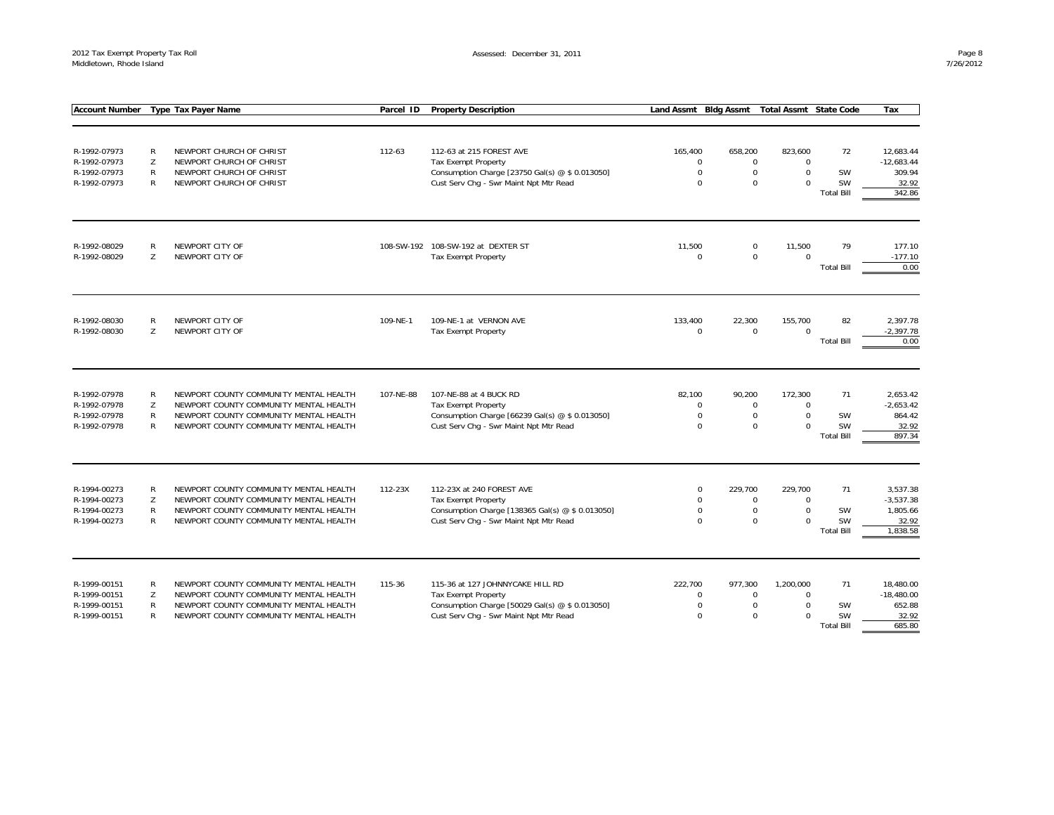| <b>Account Number</b> |              | <b>Type Tax Payer Name</b>             | Parcel ID | <b>Property Description</b>                      | Land Assmt Bldg Assmt |                     | <b>Total Assmt State Code</b> |                                | Tax             |
|-----------------------|--------------|----------------------------------------|-----------|--------------------------------------------------|-----------------------|---------------------|-------------------------------|--------------------------------|-----------------|
|                       |              |                                        |           |                                                  |                       |                     |                               |                                |                 |
|                       |              |                                        |           |                                                  |                       |                     |                               |                                |                 |
| R-1992-07973          | R            | NEWPORT CHURCH OF CHRIST               | 112-63    | 112-63 at 215 FOREST AVE                         | 165,400               | 658,200             | 823,600                       | 72                             | 12,683.44       |
| R-1992-07973          | Z            | NEWPORT CHURCH OF CHRIST               |           | <b>Tax Exempt Property</b>                       | $\mathbf 0$           | $\mathsf 0$         | $\mathbf 0$                   |                                | $-12,683.44$    |
| R-1992-07973          | R            | NEWPORT CHURCH OF CHRIST               |           | Consumption Charge [23750 Gal(s) @ \$ 0.013050]  | $\mathbf 0$           | $\mathsf 0$         | $\Omega$                      | SW                             | 309.94          |
| R-1992-07973          | R            | NEWPORT CHURCH OF CHRIST               |           | Cust Serv Chg - Swr Maint Npt Mtr Read           | $\Omega$              | $\Omega$            | $\Omega$                      | SW                             | 32.92           |
|                       |              |                                        |           |                                                  |                       |                     |                               | <b>Total Bill</b>              | 342.86          |
| R-1992-08029          | R            | NEWPORT CITY OF                        |           | 108-SW-192 108-SW-192 at DEXTER ST               | 11,500                | 0                   | 11,500                        | 79                             | 177.10          |
| R-1992-08029          | Z            | NEWPORT CITY OF                        |           | Tax Exempt Property                              | $\Omega$              | $\mathbf 0$         | $\Omega$                      |                                | $-177.10$       |
|                       |              |                                        |           |                                                  |                       |                     |                               | <b>Total Bill</b>              | 0.00            |
| R-1992-08030          | R            | NEWPORT CITY OF                        | 109-NE-1  | 109-NE-1 at VERNON AVE                           | 133,400               | 22,300              | 155,700                       | 82                             | 2,397.78        |
| R-1992-08030          | Z            | NEWPORT CITY OF                        |           | <b>Tax Exempt Property</b>                       | $\mathbf 0$           | $\mathbf 0$         | $\Omega$                      |                                | $-2,397.78$     |
|                       |              |                                        |           |                                                  |                       |                     |                               | <b>Total Bill</b>              | 0.00            |
|                       |              |                                        |           |                                                  |                       |                     |                               |                                |                 |
| R-1992-07978          | R            | NEWPORT COUNTY COMMUNITY MENTAL HEALTH | 107-NE-88 | 107-NE-88 at 4 BUCK RD                           | 82,100                | 90,200              | 172,300                       | 71                             | 2,653.42        |
| R-1992-07978          | Z            | NEWPORT COUNTY COMMUNITY MENTAL HEALTH |           | <b>Tax Exempt Property</b>                       | $\Omega$              | $\mathbf 0$         | $\Omega$                      |                                | $-2,653.42$     |
| R-1992-07978          | $\mathsf{R}$ | NEWPORT COUNTY COMMUNITY MENTAL HEALTH |           | Consumption Charge [66239 Gal(s) @ \$ 0.013050]  | $\Omega$              | $\mathbf 0$         | $\Omega$                      | SW                             | 864.42          |
| R-1992-07978          | R            | NEWPORT COUNTY COMMUNITY MENTAL HEALTH |           | Cust Serv Chg - Swr Maint Npt Mtr Read           | $\Omega$              | $\Omega$            | $\Omega$                      | <b>SW</b><br><b>Total Bill</b> | 32.92<br>897.34 |
|                       |              |                                        |           |                                                  |                       |                     |                               |                                |                 |
| R-1994-00273          | R            | NEWPORT COUNTY COMMUNITY MENTAL HEALTH | 112-23X   | 112-23X at 240 FOREST AVE                        | $\mathbf 0$           | 229,700             | 229,700                       | 71                             | 3,537.38        |
| R-1994-00273          | Z            | NEWPORT COUNTY COMMUNITY MENTAL HEALTH |           | <b>Tax Exempt Property</b>                       | $\Omega$              | $\mathsf{O}\xspace$ | $\Omega$                      |                                | $-3,537.38$     |
| R-1994-00273          | $\mathsf{R}$ | NEWPORT COUNTY COMMUNITY MENTAL HEALTH |           | Consumption Charge [138365 Gal(s) @ \$ 0.013050] | $\Omega$              | $\mathsf 0$         | $\mathbf 0$                   | SW                             | 1,805.66        |
| R-1994-00273          | $\mathsf{R}$ | NEWPORT COUNTY COMMUNITY MENTAL HEALTH |           | Cust Serv Chg - Swr Maint Npt Mtr Read           | $\Omega$              | $\mathbf 0$         | $\Omega$                      | SW                             | 32.92           |
|                       |              |                                        |           |                                                  |                       |                     |                               | <b>Total Bill</b>              | 1,838.58        |
| R-1999-00151          | R            | NEWPORT COUNTY COMMUNITY MENTAL HEALTH | 115-36    | 115-36 at 127 JOHNNYCAKE HILL RD                 | 222,700               | 977,300             | 1,200,000                     | 71                             | 18,480.00       |
| R-1999-00151          | Z            | NEWPORT COUNTY COMMUNITY MENTAL HEALTH |           | <b>Tax Exempt Property</b>                       | $\mathbf 0$           | $\overline{0}$      | $\Omega$                      |                                | $-18,480.00$    |
| R-1999-00151          | $\mathsf{R}$ | NEWPORT COUNTY COMMUNITY MENTAL HEALTH |           | Consumption Charge [50029 Gal(s) @ \$ 0.013050]  | $\mathbf 0$           | $\mathbf 0$         | $\Omega$                      | SW                             | 652.88          |
| R-1999-00151          | R            | NEWPORT COUNTY COMMUNITY MENTAL HEALTH |           | Cust Serv Chg - Swr Maint Npt Mtr Read           | $\Omega$              | $\Omega$            | $\Omega$                      | <b>SW</b>                      | 32.92           |
|                       |              |                                        |           |                                                  |                       |                     |                               | <b>Total Bill</b>              | 685.80          |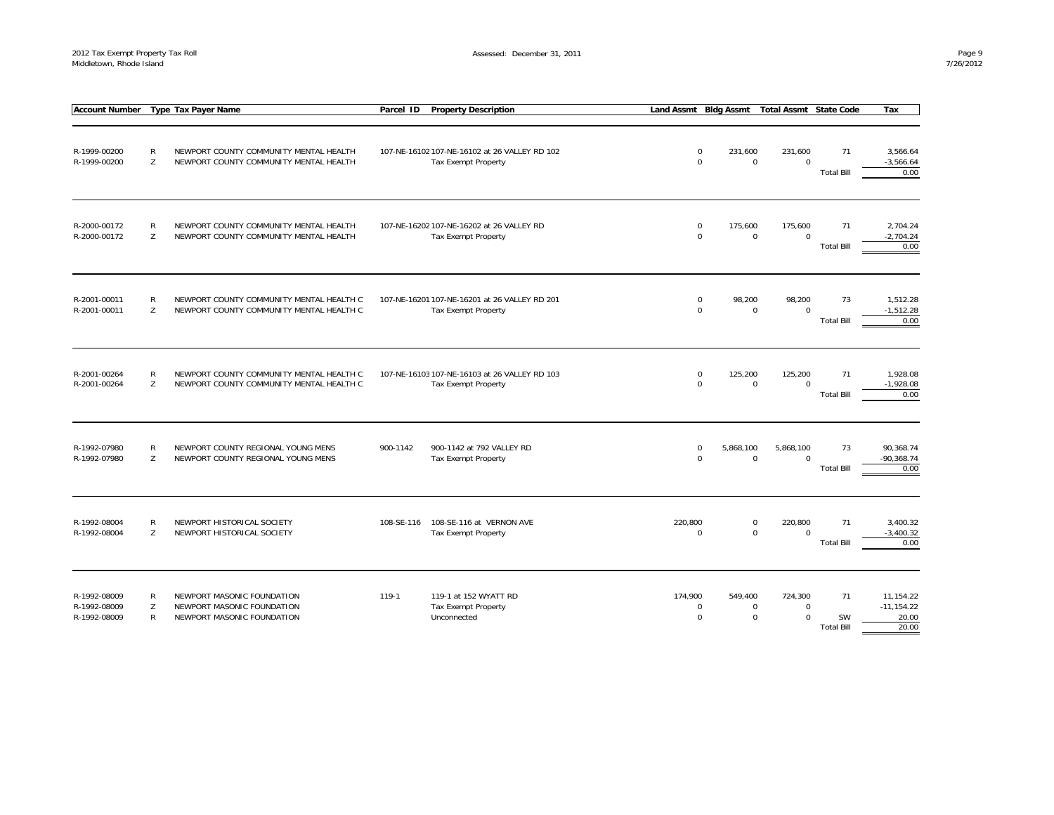|                                              |             | Account Number Type Tax Payer Name                                                     | Parcel ID  | <b>Property Description</b>                                          |         |                                         | Land Assmt Bldg Assmt Total Assmt State Code                     |                                      | Tax                                          |
|----------------------------------------------|-------------|----------------------------------------------------------------------------------------|------------|----------------------------------------------------------------------|---------|-----------------------------------------|------------------------------------------------------------------|--------------------------------------|----------------------------------------------|
| R-1999-00200<br>R-1999-00200                 | R<br>Z      | NEWPORT COUNTY COMMUNITY MENTAL HEALTH<br>NEWPORT COUNTY COMMUNITY MENTAL HEALTH       |            | 107-NE-16102 107-NE-16102 at 26 VALLEY RD 102<br>Tax Exempt Property |         | $\mathbf 0$<br>231,600<br>$\mathbf 0$   | 231,600<br>$\mathsf 0$<br>$\mathbf 0$                            | 71<br><b>Total Bill</b>              | 3,566.64<br>$-3,566.64$<br>0.00              |
| R-2000-00172<br>R-2000-00172                 | R<br>Z      | NEWPORT COUNTY COMMUNITY MENTAL HEALTH<br>NEWPORT COUNTY COMMUNITY MENTAL HEALTH       |            | 107-NE-16202 107-NE-16202 at 26 VALLEY RD<br>Tax Exempt Property     |         | $\mathbf 0$<br>175,600<br>$\mathbf 0$   | 175,600<br>$\mathsf 0$<br>$\Omega$                               | 71<br><b>Total Bill</b>              | 2,704.24<br>$-2,704.24$<br>0.00              |
| R-2001-00011<br>R-2001-00011                 | R<br>Z      | NEWPORT COUNTY COMMUNITY MENTAL HEALTH C<br>NEWPORT COUNTY COMMUNITY MENTAL HEALTH C   |            | 107-NE-16201 107-NE-16201 at 26 VALLEY RD 201<br>Tax Exempt Property |         | $\mathbf 0$<br>98,200<br>$\Omega$       | 98,200<br>$\mathbf 0$<br>$\Omega$                                | 73<br><b>Total Bill</b>              | 1,512.28<br>$-1,512.28$<br>0.00              |
| R-2001-00264<br>R-2001-00264                 | R<br>Z      | NEWPORT COUNTY COMMUNITY MENTAL HEALTH C<br>NEWPORT COUNTY COMMUNITY MENTAL HEALTH C   |            | 107-NE-16103 107-NE-16103 at 26 VALLEY RD 103<br>Tax Exempt Property |         | $\mathbf 0$<br>125,200<br>$\mathbf 0$   | 125,200<br>$\mathbf 0$<br>$\Omega$                               | 71<br><b>Total Bill</b>              | 1,928.08<br>$-1,928.08$<br>0.00              |
| R-1992-07980<br>R-1992-07980                 | R<br>Z      | NEWPORT COUNTY REGIONAL YOUNG MENS<br>NEWPORT COUNTY REGIONAL YOUNG MENS               | 900-1142   | 900-1142 at 792 VALLEY RD<br><b>Tax Exempt Property</b>              |         | $\mathbf 0$<br>5,868,100<br>$\mathbf 0$ | 5,868,100<br>$\mathbf 0$<br>$\mathbf 0$                          | 73<br><b>Total Bill</b>              | 90,368.74<br>$-90,368.74$<br>0.00            |
| R-1992-08004<br>R-1992-08004                 | R<br>Z      | NEWPORT HISTORICAL SOCIETY<br>NEWPORT HISTORICAL SOCIETY                               | 108-SE-116 | 108-SE-116 at VERNON AVE<br>Tax Exempt Property                      | 220,800 | $\Omega$                                | $\mathbf 0$<br>220,800<br>$\mathbf 0$<br>$\Omega$                | 71<br><b>Total Bill</b>              | 3,400.32<br>$-3,400.32$<br>0.00              |
| R-1992-08009<br>R-1992-08009<br>R-1992-08009 | R<br>Z<br>R | NEWPORT MASONIC FOUNDATION<br>NEWPORT MASONIC FOUNDATION<br>NEWPORT MASONIC FOUNDATION | 119-1      | 119-1 at 152 WYATT RD<br>Tax Exempt Property<br>Unconnected          | 174,900 | 549,400<br>$\mathbf 0$<br>$\mathbf 0$   | 724,300<br>$\mathbf 0$<br>$\mathbf 0$<br>$\mathbf 0$<br>$\Omega$ | 71<br><b>SW</b><br><b>Total Bill</b> | 11,154.22<br>$-11, 154.22$<br>20.00<br>20.00 |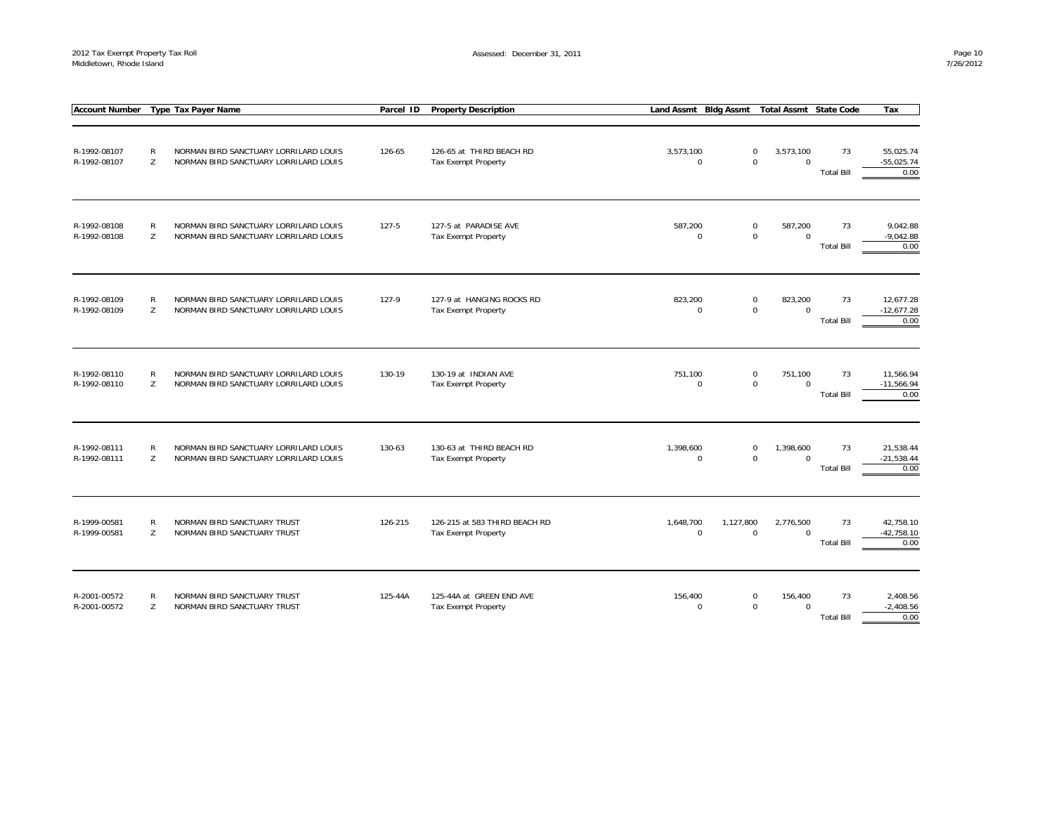| <b>Account Number</b>        |                   | <b>Type Tax Payer Name</b>                                                     | Parcel ID | <b>Property Description</b>                             | Land Assmt Bldg Assmt                 |                  | <b>Total Assmt State Code</b> |                         | Tax                               |
|------------------------------|-------------------|--------------------------------------------------------------------------------|-----------|---------------------------------------------------------|---------------------------------------|------------------|-------------------------------|-------------------------|-----------------------------------|
| R-1992-08107<br>R-1992-08107 | $\mathsf{R}$<br>Z | NORMAN BIRD SANCTUARY LORRILARD LOUIS<br>NORMAN BIRD SANCTUARY LORRILARD LOUIS | 126-65    | 126-65 at THIRD BEACH RD<br>Tax Exempt Property         | 3,573,100<br>$\mathbf 0$              | 0<br>0           | 3,573,100<br>$\mathbf 0$      | 73<br><b>Total Bill</b> | 55,025.74<br>$-55,025.74$<br>0.00 |
| R-1992-08108<br>R-1992-08108 | ${\sf R}$<br>Z    | NORMAN BIRD SANCTUARY LORRILARD LOUIS<br>NORMAN BIRD SANCTUARY LORRILARD LOUIS | $127 - 5$ | 127-5 at PARADISE AVE<br><b>Tax Exempt Property</b>     | 587,200<br>$\mathbf 0$                | $\mathsf 0$<br>0 | 587,200<br>$\mathbf 0$        | 73<br><b>Total Bill</b> | 9,042.88<br>$-9,042.88$<br>0.00   |
| R-1992-08109<br>R-1992-08109 | ${\sf R}$<br>Z    | NORMAN BIRD SANCTUARY LORRILARD LOUIS<br>NORMAN BIRD SANCTUARY LORRILARD LOUIS | 127-9     | 127-9 at HANGING ROCKS RD<br><b>Tax Exempt Property</b> | 823,200<br>$\mathbf 0$                | 0<br>$\mathsf 0$ | 823,200<br>$\mathbf 0$        | 73<br><b>Total Bill</b> | 12,677.28<br>$-12,677.28$<br>0.00 |
| R-1992-08110<br>R-1992-08110 | $\mathsf{R}$<br>Z | NORMAN BIRD SANCTUARY LORRILARD LOUIS<br>NORMAN BIRD SANCTUARY LORRILARD LOUIS | 130-19    | 130-19 at INDIAN AVE<br><b>Tax Exempt Property</b>      | 751,100<br>$\mathbf 0$                | 0<br>$\mathbf 0$ | 751,100<br>$\mathbf 0$        | 73<br><b>Total Bill</b> | 11,566.94<br>$-11,566.94$<br>0.00 |
| R-1992-08111<br>R-1992-08111 | $\mathsf{R}$<br>Z | NORMAN BIRD SANCTUARY LORRILARD LOUIS<br>NORMAN BIRD SANCTUARY LORRILARD LOUIS | 130-63    | 130-63 at THIRD BEACH RD<br><b>Tax Exempt Property</b>  | 1,398,600<br>$\mathbf 0$              | 0<br>$\mathbf 0$ | 1,398,600<br>$\mathbf{0}$     | 73<br><b>Total Bill</b> | 21,538.44<br>$-21,538.44$<br>0.00 |
| R-1999-00581<br>R-1999-00581 | $\mathsf{R}$<br>Z | NORMAN BIRD SANCTUARY TRUST<br>NORMAN BIRD SANCTUARY TRUST                     | 126-215   | 126-215 at 583 THIRD BEACH RD<br>Tax Exempt Property    | 1,648,700<br>1,127,800<br>$\mathbf 0$ | $\mathbf 0$      | 2,776,500<br>$\mathbf 0$      | 73<br><b>Total Bill</b> | 42,758.10<br>$-42,758.10$<br>0.00 |
| R-2001-00572<br>R-2001-00572 | R<br>Z            | NORMAN BIRD SANCTUARY TRUST<br>NORMAN BIRD SANCTUARY TRUST                     | 125-44A   | 125-44A at GREEN END AVE<br><b>Tax Exempt Property</b>  | 156,400<br>$\mathbf 0$                | 0<br>$\mathbf 0$ | 156,400<br>$\mathbf 0$        | 73<br><b>Total Bill</b> | 2,408.56<br>$-2,408.56$<br>0.00   |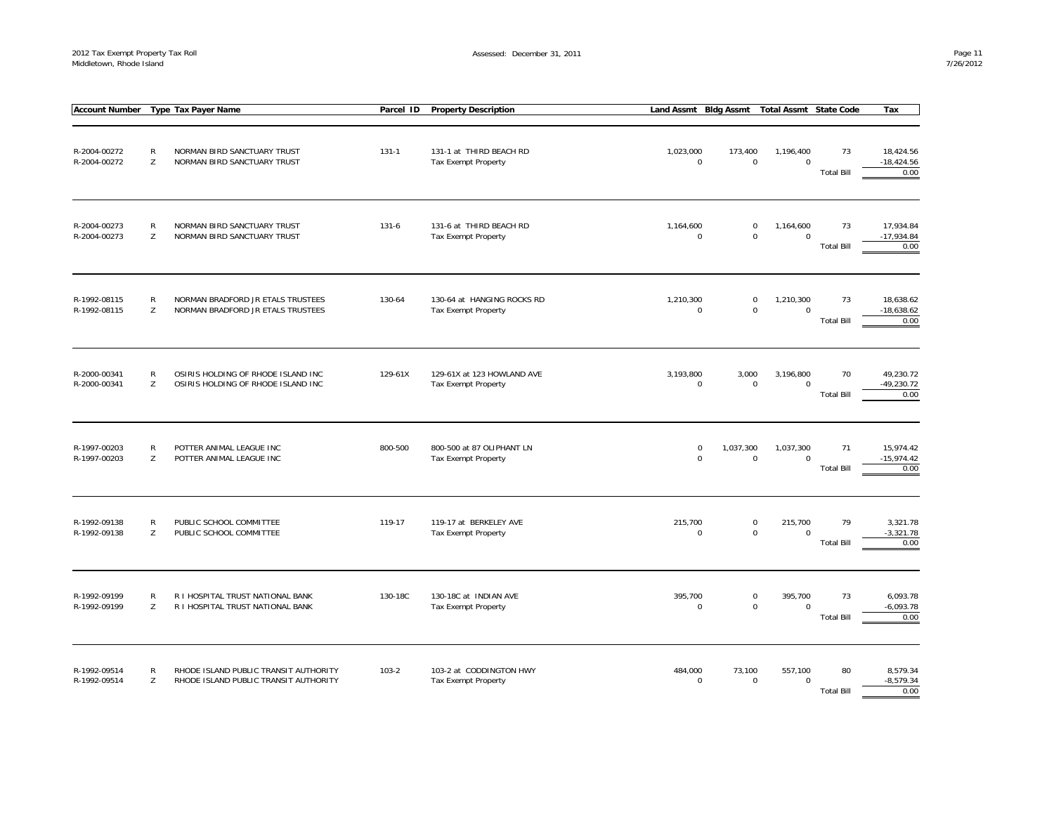| <b>Account Number</b>        |                   | <b>Type Tax Payer Name</b>                                                     | Parcel ID | <b>Property Description</b>                       | Land Assmt Bldg Assmt           |                            | <b>Total Assmt State Code</b> |                         | Tax                               |
|------------------------------|-------------------|--------------------------------------------------------------------------------|-----------|---------------------------------------------------|---------------------------------|----------------------------|-------------------------------|-------------------------|-----------------------------------|
| R-2004-00272<br>R-2004-00272 | R<br>Z            | NORMAN BIRD SANCTUARY TRUST<br>NORMAN BIRD SANCTUARY TRUST                     | $131 - 1$ | 131-1 at THIRD BEACH RD<br>Tax Exempt Property    | 1,023,000<br>$\mathbf 0$        | 173,400<br>$\mathsf 0$     | 1,196,400<br>$\mathbf 0$      | 73<br><b>Total Bill</b> | 18,424.56<br>$-18,424.56$<br>0.00 |
| R-2004-00273<br>R-2004-00273 | $\mathsf{R}$<br>Z | NORMAN BIRD SANCTUARY TRUST<br>NORMAN BIRD SANCTUARY TRUST                     | $131 - 6$ | 131-6 at THIRD BEACH RD<br>Tax Exempt Property    | 1,164,600<br>$\mathbf 0$        | $\pmb{0}$<br>$\mathbf 0$   | 1,164,600<br>$\mathbf 0$      | 73<br><b>Total Bill</b> | 17,934.84<br>$-17,934.84$<br>0.00 |
| R-1992-08115<br>R-1992-08115 | ${\sf R}$<br>Z    | NORMAN BRADFORD JR ETALS TRUSTEES<br>NORMAN BRADFORD JR ETALS TRUSTEES         | 130-64    | 130-64 at HANGING ROCKS RD<br>Tax Exempt Property | 1,210,300<br>0                  | $\mathbf 0$<br>$\mathbf 0$ | 1,210,300<br>$\mathbf 0$      | 73<br><b>Total Bill</b> | 18,638.62<br>$-18,638.62$<br>0.00 |
| R-2000-00341<br>R-2000-00341 | R<br>Z            | OSIRIS HOLDING OF RHODE ISLAND INC<br>OSIRIS HOLDING OF RHODE ISLAND INC       | 129-61X   | 129-61X at 123 HOWLAND AVE<br>Tax Exempt Property | 3,193,800<br>$\mathbf 0$        | 3,000<br>$\mathbf 0$       | 3,196,800<br>$\Omega$         | 70<br><b>Total Bill</b> | 49,230.72<br>$-49,230.72$<br>0.00 |
| R-1997-00203<br>R-1997-00203 | $\mathsf{R}$<br>Z | POTTER ANIMAL LEAGUE INC<br>POTTER ANIMAL LEAGUE INC                           | 800-500   | 800-500 at 87 OLIPHANT LN<br>Tax Exempt Property  | $\boldsymbol{0}$<br>$\mathbf 0$ | 1,037,300<br>$\mathbf 0$   | 1,037,300<br>$\mathbf 0$      | 71<br><b>Total Bill</b> | 15,974.42<br>$-15,974.42$<br>0.00 |
| R-1992-09138<br>R-1992-09138 | R<br>Z            | PUBLIC SCHOOL COMMITTEE<br>PUBLIC SCHOOL COMMITTEE                             | 119-17    | 119-17 at BERKELEY AVE<br>Tax Exempt Property     | 215,700<br>$\mathbf 0$          | $\mathbf 0$<br>$\mathsf 0$ | 215,700<br>$\mathbf 0$        | 79<br><b>Total Bill</b> | 3,321.78<br>$-3,321.78$<br>0.00   |
| R-1992-09199<br>R-1992-09199 | $\mathsf{R}$<br>Z | R I HOSPITAL TRUST NATIONAL BANK<br>R I HOSPITAL TRUST NATIONAL BANK           | 130-18C   | 130-18C at INDIAN AVE<br>Tax Exempt Property      | 395,700<br>$\mathbf 0$          | $\pmb{0}$<br>$\mathsf 0$   | 395,700<br>$\mathbf 0$        | 73<br><b>Total Bill</b> | 6,093.78<br>$-6,093.78$<br>0.00   |
| R-1992-09514<br>R-1992-09514 | $\mathsf{R}$<br>Z | RHODE ISLAND PUBLIC TRANSIT AUTHORITY<br>RHODE ISLAND PUBLIC TRANSIT AUTHORITY | $103 - 2$ | 103-2 at CODDINGTON HWY<br>Tax Exempt Property    | 484,000<br>$\mathbf 0$          | 73,100<br>$\mathbf 0$      | 557,100<br>$\mathbf 0$        | 80<br><b>Total Bill</b> | 8,579.34<br>$-8,579.34$<br>0.00   |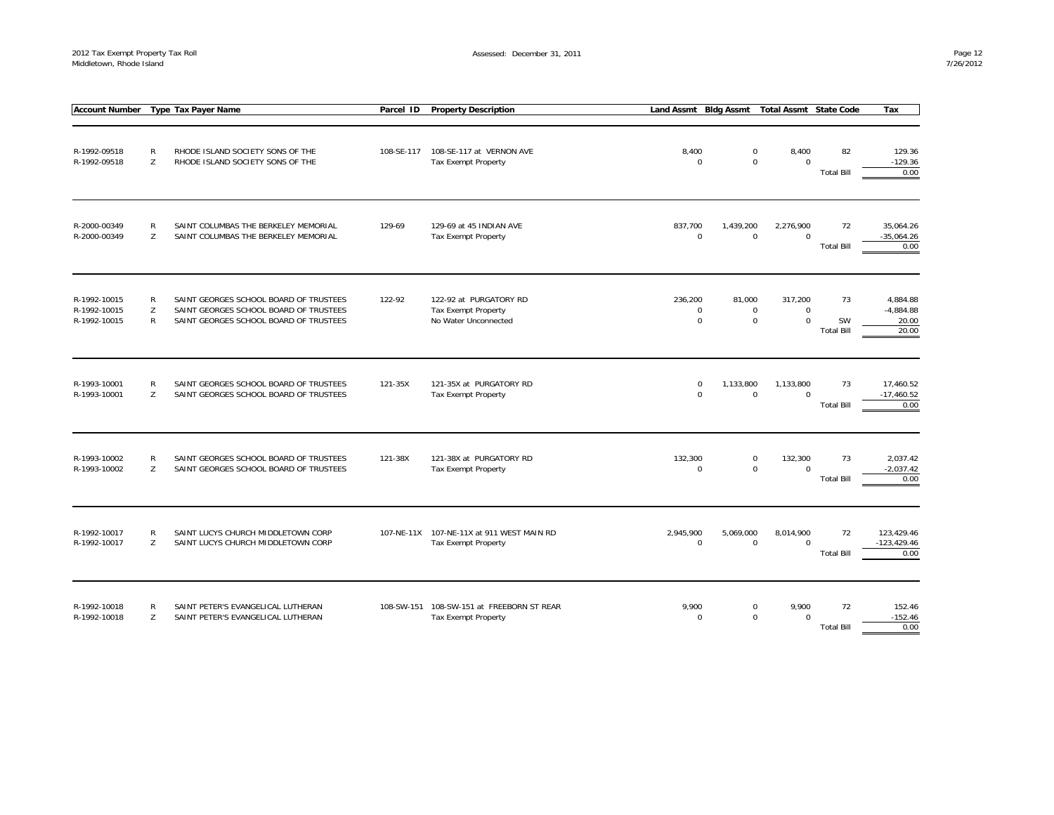| <b>Account Number</b>                        |                        | <b>Type Tax Payer Name</b>                                                                                                 | Parcel ID  | <b>Property Description</b>                                             | Land Assmt Bldg Assmt                 |                                      | <b>Total Assmt State Code</b>         |                                      | Tax                                       |
|----------------------------------------------|------------------------|----------------------------------------------------------------------------------------------------------------------------|------------|-------------------------------------------------------------------------|---------------------------------------|--------------------------------------|---------------------------------------|--------------------------------------|-------------------------------------------|
| R-1992-09518<br>R-1992-09518                 | ${\sf R}$<br>Z         | RHODE ISLAND SOCIETY SONS OF THE<br>RHODE ISLAND SOCIETY SONS OF THE                                                       | 108-SE-117 | 108-SE-117 at VERNON AVE<br>Tax Exempt Property                         | 8,400<br>$\mathbf 0$                  | $\mathbf 0$<br>$\mathbf 0$           | 8,400<br>$\mathbf 0$                  | 82<br><b>Total Bill</b>              | 129.36<br>$-129.36$<br>0.00               |
| R-2000-00349<br>R-2000-00349                 | $\mathsf{R}$<br>Z      | SAINT COLUMBAS THE BERKELEY MEMORIAL<br>SAINT COLUMBAS THE BERKELEY MEMORIAL                                               | 129-69     | 129-69 at 45 INDIAN AVE<br>Tax Exempt Property                          | 837,700<br>$\mathbf 0$                | 1,439,200<br>$\mathbf 0$             | 2,276,900<br>$\mathbf 0$              | 72<br><b>Total Bill</b>              | 35,064.26<br>$-35,064.26$<br>0.00         |
| R-1992-10015<br>R-1992-10015<br>R-1992-10015 | R<br>Z<br>$\mathsf{R}$ | SAINT GEORGES SCHOOL BOARD OF TRUSTEES<br>SAINT GEORGES SCHOOL BOARD OF TRUSTEES<br>SAINT GEORGES SCHOOL BOARD OF TRUSTEES | 122-92     | 122-92 at PURGATORY RD<br>Tax Exempt Property<br>No Water Unconnected   | 236,200<br>$\mathbf 0$<br>$\mathbf 0$ | 81,000<br>$\mathbf 0$<br>$\mathbf 0$ | 317,200<br>$\mathbf 0$<br>$\mathbf 0$ | 73<br><b>SW</b><br><b>Total Bill</b> | 4,884.88<br>$-4,884.88$<br>20.00<br>20.00 |
| R-1993-10001<br>R-1993-10001                 | $\mathsf{R}$<br>Z      | SAINT GEORGES SCHOOL BOARD OF TRUSTEES<br>SAINT GEORGES SCHOOL BOARD OF TRUSTEES                                           | 121-35X    | 121-35X at PURGATORY RD<br>Tax Exempt Property                          | $\mathbf 0$<br>$\mathbf 0$            | 1,133,800<br>$\mathbf 0$             | 1,133,800<br>$\Omega$                 | 73<br><b>Total Bill</b>              | 17,460.52<br>$-17,460.52$<br>0.00         |
| R-1993-10002<br>R-1993-10002                 | $\mathsf{R}$<br>Z      | SAINT GEORGES SCHOOL BOARD OF TRUSTEES<br>SAINT GEORGES SCHOOL BOARD OF TRUSTEES                                           | 121-38X    | 121-38X at PURGATORY RD<br>Tax Exempt Property                          | 132,300<br>$\mathbf 0$                | $\pmb{0}$<br>$\mathbf 0$             | 132,300<br>$\Omega$                   | 73<br><b>Total Bill</b>              | 2,037.42<br>$-2,037.42$<br>0.00           |
| R-1992-10017<br>R-1992-10017                 | $\mathsf{R}$<br>Z      | SAINT LUCYS CHURCH MIDDLETOWN CORP<br>SAINT LUCYS CHURCH MIDDLETOWN CORP                                                   |            | 107-NE-11X 107-NE-11X at 911 WEST MAIN RD<br>Tax Exempt Property        | 2,945,900<br>$\mathbf 0$              | 5,069,000<br>$\mathbf 0$             | 8,014,900<br>$\mathbf 0$              | 72<br><b>Total Bill</b>              | 123.429.46<br>$-123,429.46$<br>0.00       |
| R-1992-10018<br>R-1992-10018                 | $\mathsf{R}$<br>Z      | SAINT PETER'S EVANGELICAL LUTHERAN<br>SAINT PETER'S EVANGELICAL LUTHERAN                                                   |            | 108-SW-151 108-SW-151 at FREEBORN ST REAR<br><b>Tax Exempt Property</b> | 9,900<br>$\Omega$                     | $\pmb{0}$<br>$\mathbf 0$             | 9,900<br>$\Omega$                     | 72<br><b>Total Bill</b>              | 152.46<br>$-152.46$<br>0.00               |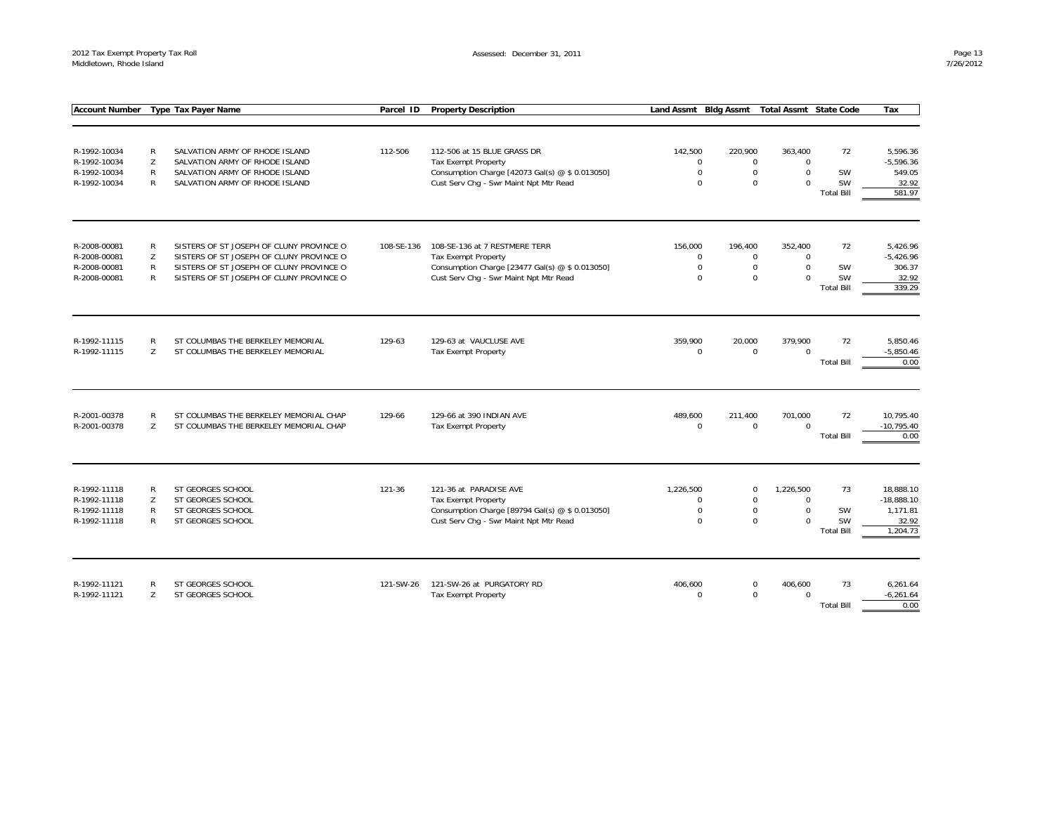| <b>Account Number</b>        |        | <b>Type Tax Payer Name</b>               | Parcel ID  | <b>Property Description</b>                     | Land Assmt Bldg Assmt  |                        | <b>Total Assmt State Code</b> |                   | Tax                  |
|------------------------------|--------|------------------------------------------|------------|-------------------------------------------------|------------------------|------------------------|-------------------------------|-------------------|----------------------|
|                              |        |                                          |            |                                                 |                        |                        |                               |                   |                      |
|                              |        |                                          |            |                                                 |                        |                        |                               |                   |                      |
| R-1992-10034                 | R      | SALVATION ARMY OF RHODE ISLAND           | 112-506    | 112-506 at 15 BLUE GRASS DR                     | 142,500                | 220,900                | 363,400                       | 72                | 5,596.36             |
| R-1992-10034                 | Z      | SALVATION ARMY OF RHODE ISLAND           |            | <b>Tax Exempt Property</b>                      | $\mathbf 0$            | $\mathbf 0$            | $\mathbf 0$                   |                   | $-5.596.36$          |
| R-1992-10034                 | R      | SALVATION ARMY OF RHODE ISLAND           |            | Consumption Charge [42073 Gal(s) @ \$ 0.013050] | $\mathbf 0$            | $\mathsf{O}$           | $\mathbf 0$                   | SW                | 549.05               |
| R-1992-10034                 | R      | SALVATION ARMY OF RHODE ISLAND           |            | Cust Serv Chg - Swr Maint Npt Mtr Read          | $\Omega$               | $\Omega$               | $\Omega$                      | <b>SW</b>         | 32.92                |
|                              |        |                                          |            |                                                 |                        |                        |                               | <b>Total Bill</b> | 581.97               |
|                              |        |                                          |            |                                                 |                        |                        |                               |                   |                      |
| R-2008-00081                 | R      | SISTERS OF ST JOSEPH OF CLUNY PROVINCE O | 108-SE-136 | 108-SE-136 at 7 RESTMERE TERR                   | 156.000                | 196.400                | 352.400                       | 72                | 5.426.96             |
| R-2008-00081                 | Z      | SISTERS OF ST JOSEPH OF CLUNY PROVINCE O |            | Tax Exempt Property                             | $\mathbf 0$            | $\mathbf 0$            | $\mathbf 0$                   |                   | $-5,426.96$          |
| R-2008-00081                 | R      | SISTERS OF ST JOSEPH OF CLUNY PROVINCE O |            | Consumption Charge [23477 Gal(s) @ \$ 0.013050] | $\mathbf 0$            | $\mathsf{O}$           | $\mathbf 0$                   | SW                | 306.37               |
| R-2008-00081                 | R      | SISTERS OF ST JOSEPH OF CLUNY PROVINCE O |            | Cust Serv Chq - Swr Maint Npt Mtr Read          | $\Omega$               | $\Omega$               | $\Omega$                      | <b>SW</b>         | 32.92                |
|                              |        |                                          |            |                                                 |                        |                        |                               | <b>Total Bill</b> | 339.29               |
|                              |        |                                          |            |                                                 |                        |                        |                               |                   |                      |
| R-1992-11115                 | R      | ST COLUMBAS THE BERKELEY MEMORIAL        | 129-63     | 129-63 at VAUCLUSE AVE                          | 359,900                | 20,000                 | 379,900                       | 72                | 5,850.46             |
| R-1992-11115                 | Z      | ST COLUMBAS THE BERKELEY MEMORIAL        |            | <b>Tax Exempt Property</b>                      | $\Omega$               | $\mathbf 0$            | $\Omega$                      |                   | $-5,850.46$          |
|                              |        |                                          |            |                                                 |                        |                        |                               | <b>Total Bill</b> | 0.00                 |
|                              |        |                                          |            |                                                 |                        |                        |                               |                   |                      |
|                              |        |                                          |            |                                                 |                        |                        |                               |                   |                      |
| R-2001-00378<br>R-2001-00378 | R<br>Z | ST COLUMBAS THE BERKELEY MEMORIAL CHAP   | 129-66     | 129-66 at 390 INDIAN AVE                        | 489,600<br>$\mathbf 0$ | 211,400<br>$\mathbf 0$ | 701,000<br>$\Omega$           | 72                | 10,795.40            |
|                              |        | ST COLUMBAS THE BERKELEY MEMORIAL CHAP   |            | <b>Tax Exempt Property</b>                      |                        |                        |                               | <b>Total Bill</b> | $-10,795.40$<br>0.00 |
|                              |        |                                          |            |                                                 |                        |                        |                               |                   |                      |
|                              |        |                                          |            |                                                 |                        |                        |                               |                   |                      |
| R-1992-11118                 | R      | ST GEORGES SCHOOL                        | 121-36     | 121-36 at PARADISE AVE                          | 1,226,500              | $\mathsf{O}$           | 1,226,500                     | 73                | 18,888.10            |
| R-1992-11118                 | Z      | ST GEORGES SCHOOL                        |            | Tax Exempt Property                             | $\Omega$               | $\mathbf 0$            | $\Omega$                      |                   | $-18,888.10$         |
| R-1992-11118                 | R      | ST GEORGES SCHOOL                        |            | Consumption Charge [89794 Gal(s) @ \$ 0.013050] | $\mathbf 0$            | $\mathbf 0$            | $\mathbf 0$                   | SW                | 1,171.81             |
| R-1992-11118                 | R      | ST GEORGES SCHOOL                        |            | Cust Serv Chg - Swr Maint Npt Mtr Read          | $\Omega$               | $\Omega$               | $\Omega$                      | SW                | 32.92                |
|                              |        |                                          |            |                                                 |                        |                        |                               | <b>Total Bill</b> | 1,204.73             |
|                              |        |                                          |            |                                                 |                        |                        |                               |                   |                      |
| R-1992-11121                 | R      | ST GEORGES SCHOOL                        | 121-SW-26  | 121-SW-26 at PURGATORY RD                       | 406,600                | $\mathbf 0$            | 406,600                       | 73                | 6,261.64             |
| R-1992-11121                 | Z      | ST GEORGES SCHOOL                        |            | Tax Exempt Property                             | $\Omega$               | $\Omega$               | $\Omega$                      |                   | $-6,261.64$          |
|                              |        |                                          |            |                                                 |                        |                        |                               | <b>Total Bill</b> | 0.00                 |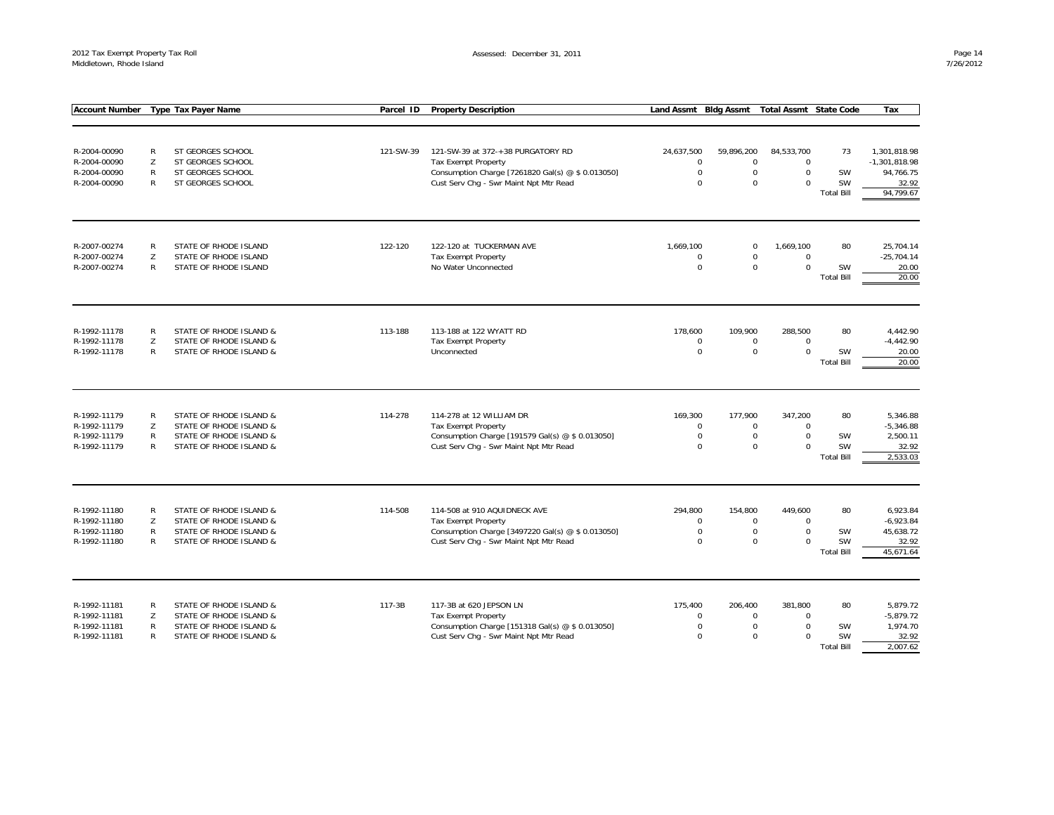| <b>Account Number</b>        |                   | Type Tax Payer Name                                | Parcel ID | <b>Property Description</b>                                                                | Land Assmt Bldg Assmt      |                            | <b>Total Assmt State Code</b> |                         | Tax               |
|------------------------------|-------------------|----------------------------------------------------|-----------|--------------------------------------------------------------------------------------------|----------------------------|----------------------------|-------------------------------|-------------------------|-------------------|
|                              |                   |                                                    |           |                                                                                            |                            |                            |                               |                         |                   |
|                              |                   |                                                    |           |                                                                                            |                            |                            |                               |                         |                   |
| R-2004-00090                 | R                 | ST GEORGES SCHOOL                                  | 121-SW-39 | 121-SW-39 at 372-+38 PURGATORY RD                                                          | 24,637,500                 | 59,896,200                 | 84,533,700                    | 73                      | 1,301,818.98      |
| R-2004-00090                 | Z                 | ST GEORGES SCHOOL                                  |           | Tax Exempt Property                                                                        | 0                          | $\mathbf 0$                | $\mathbf 0$                   |                         | $-1,301,818.98$   |
| R-2004-00090                 | R                 | ST GEORGES SCHOOL                                  |           | Consumption Charge [7261820 Gal(s) @ \$ 0.013050]                                          | $\mathbf 0$                | $\mathbf 0$                | $\mathbf 0$                   | SW                      | 94,766.75         |
| R-2004-00090                 | R                 | ST GEORGES SCHOOL                                  |           | Cust Serv Chg - Swr Maint Npt Mtr Read                                                     | $\Omega$                   | $\mathbf 0$                | $\mathbf 0$                   | SW                      | 32.92             |
|                              |                   |                                                    |           |                                                                                            |                            |                            |                               | <b>Total Bill</b>       | 94,799.67         |
|                              |                   |                                                    |           |                                                                                            |                            |                            |                               |                         |                   |
| R-2007-00274                 | R                 | STATE OF RHODE ISLAND                              | 122-120   | 122-120 at TUCKERMAN AVE                                                                   | 1,669,100                  | $\mathbf 0$                | 1,669,100                     | 80                      | 25,704.14         |
| R-2007-00274                 | Z<br>$\mathsf{R}$ | STATE OF RHODE ISLAND                              |           | Tax Exempt Property                                                                        | $\mathbf 0$<br>$\Omega$    | $\mathbf 0$<br>$\mathbf 0$ | $\mathbf 0$<br>$\Omega$       |                         | $-25,704.14$      |
| R-2007-00274                 |                   | STATE OF RHODE ISLAND                              |           | No Water Unconnected                                                                       |                            |                            |                               | SW<br><b>Total Bill</b> | 20.00<br>20.00    |
|                              |                   |                                                    |           |                                                                                            |                            |                            |                               |                         |                   |
| R-1992-11178                 | R                 | STATE OF RHODE ISLAND &                            | 113-188   | 113-188 at 122 WYATT RD                                                                    | 178,600                    | 109,900                    | 288,500                       | 80                      | 4,442.90          |
| R-1992-11178                 | Z                 | STATE OF RHODE ISLAND &                            |           | <b>Tax Exempt Property</b>                                                                 | $\mathbf 0$                | $\mathbf 0$                | $\mathbf 0$                   |                         | $-4,442.90$       |
| R-1992-11178                 | R                 | STATE OF RHODE ISLAND &                            |           | Unconnected                                                                                | $\mathbf 0$                | $\mathbf 0$                | $\mathbf 0$                   | SW                      | 20.00             |
|                              |                   |                                                    |           |                                                                                            |                            |                            |                               | <b>Total Bill</b>       | 20.00             |
|                              |                   |                                                    |           |                                                                                            |                            |                            |                               |                         |                   |
| R-1992-11179                 | ${\sf R}$         | STATE OF RHODE ISLAND &                            | 114-278   | 114-278 at 12 WILLIAM DR                                                                   | 169,300                    | 177,900                    | 347,200                       | 80                      | 5,346.88          |
| R-1992-11179                 | Z                 | STATE OF RHODE ISLAND &                            |           | Tax Exempt Property                                                                        | $\mathbf 0$                | $\mathsf{O}$               | $\mathbf 0$                   |                         | $-5,346.88$       |
| R-1992-11179                 | R                 | STATE OF RHODE ISLAND &                            |           | Consumption Charge [191579 Gal(s) @ \$ 0.013050]                                           | $\mathbf 0$                | $\mathbf 0$                | $\mathbf 0$                   | SW                      | 2,500.11          |
| R-1992-11179                 | R                 | STATE OF RHODE ISLAND &                            |           | Cust Serv Chg - Swr Maint Npt Mtr Read                                                     | $\Omega$                   | $\mathbf 0$                | $\mathbf 0$                   | SW                      | 32.92             |
|                              |                   |                                                    |           |                                                                                            |                            |                            |                               | <b>Total Bill</b>       | 2,533.03          |
| R-1992-11180                 | R                 | STATE OF RHODE ISLAND &                            | 114-508   | 114-508 at 910 AQUIDNECK AVE                                                               | 294,800                    | 154.800                    | 449.600                       | 80                      | 6.923.84          |
| R-1992-11180                 | Z                 | STATE OF RHODE ISLAND &                            |           | Tax Exempt Property                                                                        | $\mathbf 0$                | $\mathbf 0$                | $\Omega$                      |                         | $-6,923.84$       |
| R-1992-11180                 | R                 | STATE OF RHODE ISLAND &                            |           | Consumption Charge [3497220 Gal(s) @ \$ 0.013050]                                          | $\mathbf 0$                | $\mathbf 0$                | $\mathbf 0$                   | SW                      | 45,638.72         |
| R-1992-11180                 | R                 | STATE OF RHODE ISLAND &                            |           | Cust Serv Chg - Swr Maint Npt Mtr Read                                                     | $\Omega$                   | $\mathbf 0$                | $\Omega$                      | SW                      | 32.92             |
|                              |                   |                                                    |           |                                                                                            |                            |                            |                               | <b>Total Bill</b>       | 45,671.64         |
|                              |                   |                                                    |           |                                                                                            |                            |                            |                               |                         |                   |
| R-1992-11181                 | R                 | STATE OF RHODE ISLAND &                            | 117-3B    | 117-3B at 620 JEPSON LN                                                                    | 175,400                    | 206,400                    | 381,800                       | 80                      | 5,879.72          |
| R-1992-11181                 | Z                 | STATE OF RHODE ISLAND &                            |           | Tax Exempt Property                                                                        | $\mathbf 0$                | $\mathbf 0$                | $\mathbf 0$                   |                         | $-5,879.72$       |
| R-1992-11181<br>R-1992-11181 | R<br>R            | STATE OF RHODE ISLAND &<br>STATE OF RHODE ISLAND & |           | Consumption Charge [151318 Gal(s) @ \$ 0.013050]<br>Cust Serv Chg - Swr Maint Npt Mtr Read | $\mathbf 0$<br>$\mathbf 0$ | $\mathbf 0$<br>$\mathbf 0$ | $\mathbf 0$<br>$\Omega$       | SW<br>SW                | 1,974.70<br>32.92 |
|                              |                   |                                                    |           |                                                                                            |                            |                            |                               | <b>Total Bill</b>       | 2,007.62          |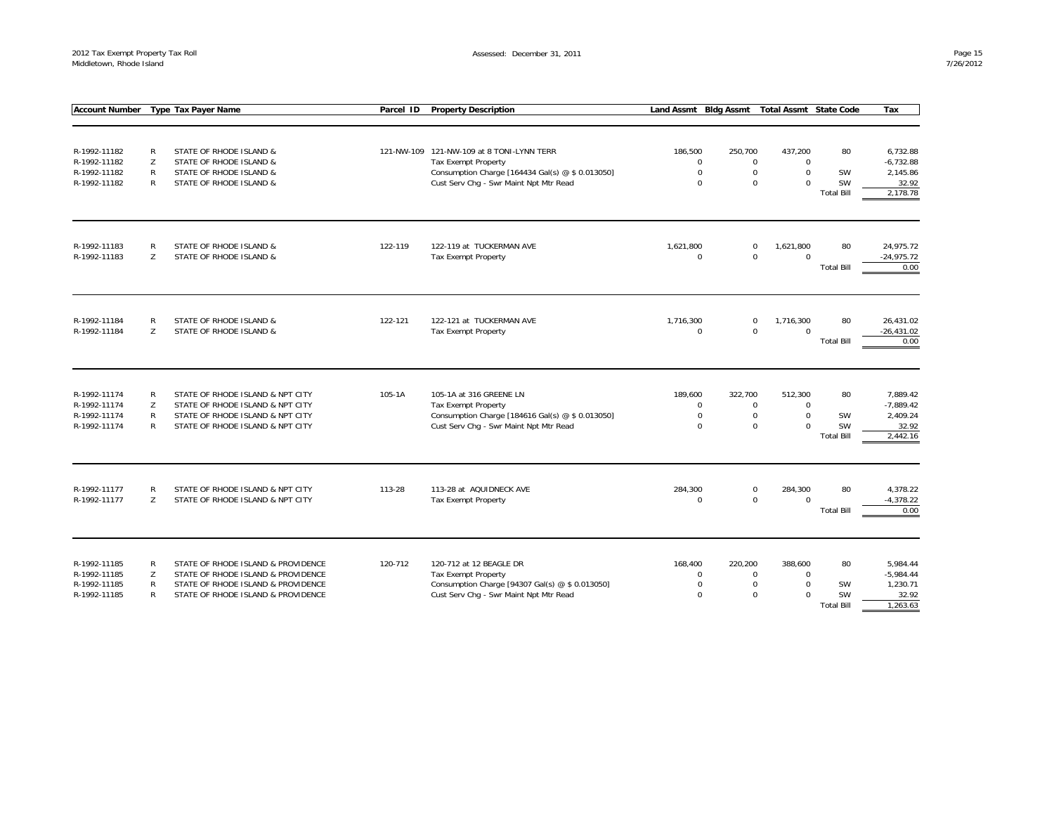| <b>Account Number</b> |                | <b>Type Tax Payer Name</b>         | Parcel ID | <b>Property Description</b>                      | <b>Land Assmt</b>      | <b>Bldg Assmt</b>      | <b>Total Assmt State Code</b> |                   | Tax                 |
|-----------------------|----------------|------------------------------------|-----------|--------------------------------------------------|------------------------|------------------------|-------------------------------|-------------------|---------------------|
|                       |                |                                    |           |                                                  |                        |                        |                               |                   |                     |
|                       |                |                                    |           |                                                  |                        |                        |                               |                   |                     |
| R-1992-11182          | R              | STATE OF RHODE ISLAND &            |           | 121-NW-109 121-NW-109 at 8 TONI-LYNN TERR        | 186.500                | 250,700                | 437,200                       | 80                | 6,732.88            |
| R-1992-11182          | Z              | STATE OF RHODE ISLAND &            |           | <b>Tax Exempt Property</b>                       | $\mathbf 0$            | $\mathbf 0$            | $\mathbf 0$                   |                   | $-6,732.88$         |
| R-1992-11182          | R              | STATE OF RHODE ISLAND &            |           | Consumption Charge [164434 Gal(s) @ \$ 0.013050] | $\mathbf 0$            | $\mathbf 0$            | $\mathbf 0$                   | SW                | 2,145.86            |
| R-1992-11182          | R              | STATE OF RHODE ISLAND &            |           | Cust Serv Chq - Swr Maint Npt Mtr Read           | $\Omega$               | $\Omega$               | $\mathbf 0$                   | <b>SW</b>         | 32.92               |
|                       |                |                                    |           |                                                  |                        |                        |                               | <b>Total Bill</b> | 2,178.78            |
|                       |                |                                    |           |                                                  |                        |                        |                               |                   |                     |
|                       |                |                                    |           |                                                  |                        |                        |                               |                   |                     |
| R-1992-11183          | R              | STATE OF RHODE ISLAND &            | 122-119   | 122-119 at TUCKERMAN AVE                         | 1,621,800              | $\mathbf 0$            | 1,621,800                     | 80                | 24,975.72           |
| R-1992-11183          | Z              | STATE OF RHODE ISLAND &            |           | Tax Exempt Property                              | $\Omega$               | $\Omega$               | $\mathbf 0$                   |                   | $-24,975.72$        |
|                       |                |                                    |           |                                                  |                        |                        |                               | <b>Total Bill</b> | 0.00                |
|                       |                |                                    |           |                                                  |                        |                        |                               |                   |                     |
| R-1992-11184          | R              | STATE OF RHODE ISLAND &            | 122-121   | 122-121 at TUCKERMAN AVE                         | 1,716,300              | $\mathbf 0$            | 1,716,300                     | 80                | 26.431.02           |
| R-1992-11184          | Z              | STATE OF RHODE ISLAND &            |           | <b>Tax Exempt Property</b>                       | $\mathbf 0$            | $\Omega$               | $\mathbf 0$                   |                   | $-26,431.02$        |
|                       |                |                                    |           |                                                  |                        |                        |                               | <b>Total Bill</b> | 0.00                |
|                       |                |                                    |           |                                                  |                        |                        |                               |                   |                     |
| R-1992-11174          |                | STATE OF RHODE ISLAND & NPT CITY   |           |                                                  |                        |                        |                               | 80                | 7,889.42            |
| R-1992-11174          | R<br>Z         | STATE OF RHODE ISLAND & NPT CITY   | 105-1A    | 105-1A at 316 GREENE LN<br>Tax Exempt Property   | 189,600<br>$\mathbf 0$ | 322,700<br>$\mathbf 0$ | 512,300<br>$\mathbf 0$        |                   | $-7,889.42$         |
| R-1992-11174          | $\mathsf{R}$   | STATE OF RHODE ISLAND & NPT CITY   |           | Consumption Charge [184616 Gal(s) @ \$ 0.013050] | $\mathbf 0$            | $\mathbf 0$            | $\mathbf 0$                   | SW                | 2,409.24            |
| R-1992-11174          | $\mathsf{R}$   | STATE OF RHODE ISLAND & NPT CITY   |           | Cust Serv Chg - Swr Maint Npt Mtr Read           | $\Omega$               | $\Omega$               | $\mathbf 0$                   | SW                | 32.92               |
|                       |                |                                    |           |                                                  |                        |                        |                               | <b>Total Bill</b> | 2,442.16            |
|                       |                |                                    |           |                                                  |                        |                        |                               |                   |                     |
|                       |                |                                    |           |                                                  |                        |                        |                               |                   |                     |
| R-1992-11177          | R              | STATE OF RHODE ISLAND & NPT CITY   | 113-28    | 113-28 at AQUIDNECK AVE                          | 284,300                | $\mathsf 0$            | 284,300                       | 80                | 4,378.22            |
| R-1992-11177          | $\overline{7}$ | STATE OF RHODE ISLAND & NPT CITY   |           | Tax Exempt Property                              | $\Omega$               | $\Omega$               | $\mathbf 0$                   | <b>Total Bill</b> | $-4,378.22$<br>0.00 |
|                       |                |                                    |           |                                                  |                        |                        |                               |                   |                     |
|                       |                |                                    |           |                                                  |                        |                        |                               |                   |                     |
| R-1992-11185          | R              | STATE OF RHODE ISLAND & PROVIDENCE | 120-712   | 120-712 at 12 BEAGLE DR                          | 168,400                | 220,200                | 388,600                       | 80                | 5,984.44            |
| R-1992-11185          | Z              | STATE OF RHODE ISLAND & PROVIDENCE |           | Tax Exempt Property                              | $\mathbf 0$            | $\mathbf 0$            | $\mathbf 0$                   |                   | $-5,984.44$         |
| R-1992-11185          | R              | STATE OF RHODE ISLAND & PROVIDENCE |           | Consumption Charge [94307 Gal(s) @ \$ 0.013050]  | $\mathbf 0$            | $\mathbf 0$            | $\mathbf 0$                   | SW                | 1,230.71            |
| R-1992-11185          | $\mathsf{R}$   | STATE OF RHODE ISLAND & PROVIDENCE |           | Cust Serv Chg - Swr Maint Npt Mtr Read           | $\Omega$               | $\mathbf 0$            | $\mathbf 0$                   | <b>SW</b>         | 32.92               |
|                       |                |                                    |           |                                                  |                        |                        |                               | <b>Total Bill</b> | 1,263.63            |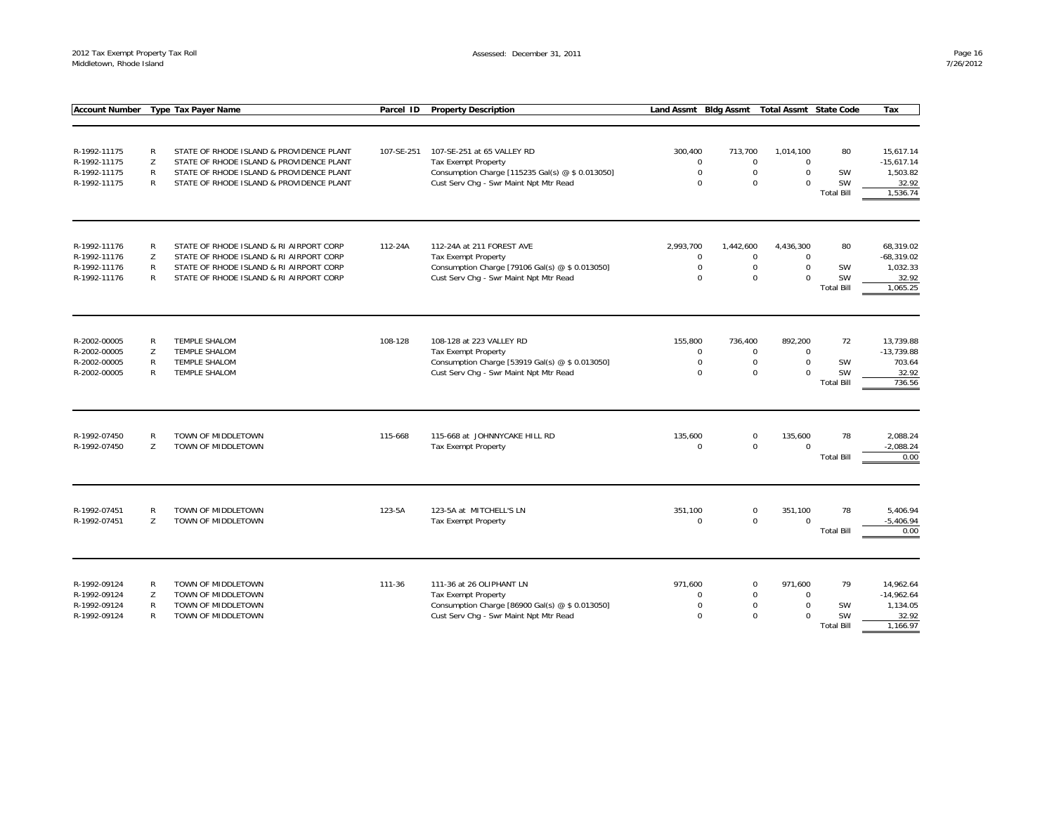| <b>Account Number</b> |              | <b>Type Tax Payer Name</b>               | Parcel ID  | <b>Property Description</b>                      | <b>Bldg Assmt</b><br><b>Total Assmt State Code</b><br><b>Land Assmt</b> |             |             |                   | Tax               |
|-----------------------|--------------|------------------------------------------|------------|--------------------------------------------------|-------------------------------------------------------------------------|-------------|-------------|-------------------|-------------------|
|                       |              |                                          |            |                                                  |                                                                         |             |             |                   |                   |
|                       |              |                                          |            |                                                  |                                                                         |             |             |                   |                   |
|                       |              |                                          |            |                                                  |                                                                         |             |             |                   |                   |
| R-1992-11175          | $\mathsf{R}$ | STATE OF RHODE ISLAND & PROVIDENCE PLANT | 107-SE-251 | 107-SE-251 at 65 VALLEY RD                       | 300.400                                                                 | 713,700     | 1,014,100   | 80                | 15.617.14         |
| R-1992-11175          | Z            | STATE OF RHODE ISLAND & PROVIDENCE PLANT |            | Tax Exempt Property                              | $\mathbf 0$                                                             | $\mathbf 0$ | $\mathbf 0$ |                   | $-15,617.14$      |
| R-1992-11175          | $\mathsf{R}$ | STATE OF RHODE ISLAND & PROVIDENCE PLANT |            | Consumption Charge [115235 Gal(s) @ \$ 0.013050] | $\mathbf 0$                                                             | $\mathbf 0$ | $\mathbf 0$ | SW                | 1,503.82          |
| R-1992-11175          | R            | STATE OF RHODE ISLAND & PROVIDENCE PLANT |            | Cust Serv Chg - Swr Maint Npt Mtr Read           | $\Omega$                                                                | $\mathbf 0$ | $\Omega$    | <b>SW</b>         | 32.92<br>1,536.74 |
|                       |              |                                          |            |                                                  |                                                                         |             |             | <b>Total Bill</b> |                   |
|                       |              |                                          |            |                                                  |                                                                         |             |             |                   |                   |
| R-1992-11176          | R            | STATE OF RHODE ISLAND & RI AIRPORT CORP  | 112-24A    | 112-24A at 211 FOREST AVE                        | 2,993,700                                                               | 1,442,600   | 4,436,300   | 80                | 68,319.02         |
| R-1992-11176          | Z            | STATE OF RHODE ISLAND & RI AIRPORT CORP  |            | <b>Tax Exempt Property</b>                       | $\mathbf 0$                                                             | $\mathbf 0$ | $\mathbf 0$ |                   | $-68,319.02$      |
| R-1992-11176          | R            | STATE OF RHODE ISLAND & RI AIRPORT CORP  |            | Consumption Charge [79106 Gal(s) @ \$ 0.013050]  | $\mathbf 0$                                                             | $\mathsf 0$ | $\mathbf 0$ | SW                | 1,032.33          |
| R-1992-11176          | R            | STATE OF RHODE ISLAND & RI AIRPORT CORP  |            | Cust Serv Chg - Swr Maint Npt Mtr Read           | $\Omega$                                                                | $\mathbf 0$ | $\Omega$    | SW                | 32.92             |
|                       |              |                                          |            |                                                  |                                                                         |             |             | <b>Total Bill</b> | 1,065.25          |
|                       |              |                                          |            |                                                  |                                                                         |             |             |                   |                   |
| R-2002-00005          | R            | <b>TEMPLE SHALOM</b>                     | 108-128    | 108-128 at 223 VALLEY RD                         | 155.800                                                                 | 736.400     | 892.200     | 72                | 13.739.88         |
| R-2002-00005          | Z            | TEMPLE SHALOM                            |            | <b>Tax Exempt Property</b>                       | $\mathbf 0$                                                             | $\mathbf 0$ | $\mathbf 0$ |                   | $-13,739.88$      |
| R-2002-00005          | $\mathsf{R}$ | TEMPLE SHALOM                            |            | Consumption Charge [53919 Gal(s) @ \$ 0.013050]  | $\mathbf 0$                                                             | $\mathbf 0$ | $\Omega$    | SW                | 703.64            |
| R-2002-00005          | R            | <b>TEMPLE SHALOM</b>                     |            | Cust Serv Chg - Swr Maint Npt Mtr Read           | $\Omega$                                                                | $\mathbf 0$ | $\Omega$    | <b>SW</b>         | 32.92             |
|                       |              |                                          |            |                                                  |                                                                         |             |             | <b>Total Bill</b> | 736.56            |
|                       |              |                                          |            |                                                  |                                                                         |             |             |                   |                   |
|                       |              |                                          |            |                                                  |                                                                         |             |             |                   |                   |
| R-1992-07450          | R            | TOWN OF MIDDLETOWN                       | 115-668    | 115-668 at JOHNNYCAKE HILL RD                    | 135,600                                                                 | $\mathbf 0$ | 135,600     | 78                | 2,088.24          |
| R-1992-07450          | Z            | TOWN OF MIDDLETOWN                       |            | Tax Exempt Property                              | $\Omega$                                                                | $\mathbf 0$ | $\Omega$    |                   | $-2,088.24$       |
|                       |              |                                          |            |                                                  |                                                                         |             |             | <b>Total Bill</b> | 0.00              |
|                       |              |                                          |            |                                                  |                                                                         |             |             |                   |                   |
| R-1992-07451          | $\mathsf{R}$ | TOWN OF MIDDLETOWN                       | 123-5A     | 123-5A at MITCHELL'S LN                          | 351,100                                                                 | $\mathbf 0$ | 351,100     | 78                | 5,406.94          |
| R-1992-07451          | Z            | TOWN OF MIDDLETOWN                       |            | Tax Exempt Property                              | $\mathbf 0$                                                             | $\mathbf 0$ | $\Omega$    |                   | $-5,406.94$       |
|                       |              |                                          |            |                                                  |                                                                         |             |             | <b>Total Bill</b> | 0.00              |
|                       |              |                                          |            |                                                  |                                                                         |             |             |                   |                   |
| R-1992-09124          | $\mathsf{R}$ | TOWN OF MIDDLETOWN                       | 111-36     | 111-36 at 26 OLIPHANT LN                         | 971.600                                                                 | $\mathbf 0$ | 971,600     | 79                | 14,962.64         |
| R-1992-09124          | Z            | TOWN OF MIDDLETOWN                       |            | <b>Tax Exempt Property</b>                       | $\Omega$                                                                | $\mathbf 0$ | $\mathbf 0$ |                   | $-14,962.64$      |
| R-1992-09124          | R            | TOWN OF MIDDLETOWN                       |            | Consumption Charge [86900 Gal(s) @ \$ 0.013050]  | $\mathbf 0$                                                             | $\mathbf 0$ | $\mathbf 0$ | SW                | 1,134.05          |
| R-1992-09124          | $\mathsf{R}$ | TOWN OF MIDDLETOWN                       |            | Cust Serv Chg - Swr Maint Npt Mtr Read           | $\Omega$                                                                | $\Omega$    | $\Omega$    | <b>SW</b>         | 32.92             |
|                       |              |                                          |            |                                                  |                                                                         |             |             | <b>Total Bill</b> | 1,166.97          |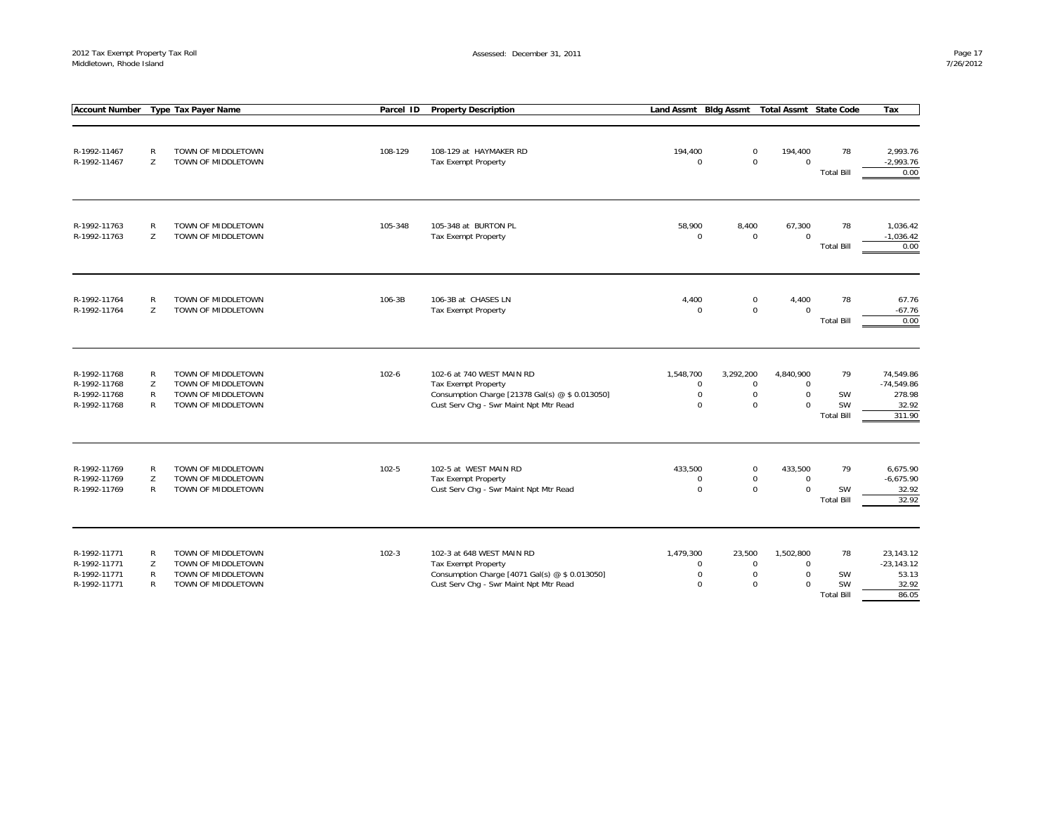| <b>Account Number</b>                                        | <b>Type Tax Payer Name</b>                                                                                          | Parcel ID | <b>Property Description</b>                                                                                                                          | Land Assmt Bldg Assmt                               |                                                        | <b>Total Assmt State Code</b>                       |                                     | Tax                                                    |
|--------------------------------------------------------------|---------------------------------------------------------------------------------------------------------------------|-----------|------------------------------------------------------------------------------------------------------------------------------------------------------|-----------------------------------------------------|--------------------------------------------------------|-----------------------------------------------------|-------------------------------------|--------------------------------------------------------|
| R-1992-11467<br>R-1992-11467                                 | TOWN OF MIDDLETOWN<br>$\mathsf{R}$<br>Z<br>TOWN OF MIDDLETOWN                                                       | 108-129   | 108-129 at HAYMAKER RD<br><b>Tax Exempt Property</b>                                                                                                 | 194,400<br>$\Omega$                                 | $\mathbf 0$<br>$\mathbf 0$                             | 194,400<br>$\Omega$                                 | 78<br><b>Total Bill</b>             | 2,993.76<br>$-2,993.76$<br>0.00                        |
| R-1992-11763<br>R-1992-11763                                 | $\mathsf{R}$<br>TOWN OF MIDDLETOWN<br>Z<br>TOWN OF MIDDLETOWN                                                       | 105-348   | 105-348 at BURTON PL<br><b>Tax Exempt Property</b>                                                                                                   | 58,900<br>$\mathsf 0$                               | 8,400<br>$\mathbf 0$                                   | 67,300<br>$\mathbf 0$                               | 78<br><b>Total Bill</b>             | 1,036.42<br>$-1,036.42$<br>0.00                        |
| R-1992-11764<br>R-1992-11764                                 | ${\sf R}$<br>TOWN OF MIDDLETOWN<br>Z<br>TOWN OF MIDDLETOWN                                                          | 106-3B    | 106-3B at CHASES LN<br><b>Tax Exempt Property</b>                                                                                                    | 4,400<br>$\mathbf 0$                                | $\mathbf 0$<br>$\mathbf 0$                             | 4,400<br>$\Omega$                                   | 78<br><b>Total Bill</b>             | 67.76<br>$-67.76$<br>0.00                              |
| R-1992-11768<br>R-1992-11768<br>R-1992-11768<br>R-1992-11768 | R<br>TOWN OF MIDDLETOWN<br>Z<br>TOWN OF MIDDLETOWN<br>R<br>TOWN OF MIDDLETOWN<br>$\mathsf{R}$<br>TOWN OF MIDDLETOWN | $102 - 6$ | 102-6 at 740 WEST MAIN RD<br><b>Tax Exempt Property</b><br>Consumption Charge [21378 Gal(s) @ \$ 0.013050]<br>Cust Serv Chg - Swr Maint Npt Mtr Read | 1,548,700<br>$\mathsf 0$<br>$\mathbf 0$<br>$\Omega$ | 3,292,200<br>$\mathbf 0$<br>$\mathbf 0$<br>$\mathbf 0$ | 4,840,900<br>$\mathsf 0$<br>$\mathbf 0$<br>$\Omega$ | 79<br>SW<br>SW<br><b>Total Bill</b> | 74,549.86<br>$-74,549.86$<br>278.98<br>32.92<br>311.90 |
| R-1992-11769<br>R-1992-11769<br>R-1992-11769                 | R<br>TOWN OF MIDDLETOWN<br>Z<br>TOWN OF MIDDLETOWN<br>$\mathsf{R}$<br>TOWN OF MIDDLETOWN                            | $102 - 5$ | 102-5 at WEST MAIN RD<br><b>Tax Exempt Property</b><br>Cust Serv Chg - Swr Maint Npt Mtr Read                                                        | 433,500<br>0<br>$\mathbf 0$                         | $\mathbf 0$<br>$\mathbf 0$<br>$\mathbf 0$              | 433,500<br>$\mathsf 0$<br>$\Omega$                  | 79<br>SW<br><b>Total Bill</b>       | 6,675.90<br>$-6,675.90$<br>32.92<br>32.92              |
| R-1992-11771<br>R-1992-11771<br>R-1992-11771<br>R-1992-11771 | TOWN OF MIDDLETOWN<br>R<br>Z<br>TOWN OF MIDDLETOWN<br>R<br>TOWN OF MIDDLETOWN<br>$\mathsf{R}$<br>TOWN OF MIDDLETOWN | $102 - 3$ | 102-3 at 648 WEST MAIN RD<br><b>Tax Exempt Property</b><br>Consumption Charge [4071 Gal(s) @ \$ 0.013050]<br>Cust Serv Chq - Swr Maint Npt Mtr Read  | 1,479,300<br>$\mathbf 0$<br>0<br>$\mathbf 0$        | 23,500<br>$\mathbf 0$<br>0<br>$\mathbf 0$              | 1,502,800<br>$\mathbf 0$<br>$\mathsf 0$<br>$\Omega$ | 78<br>SW<br>SW<br><b>Total Bill</b> | 23,143.12<br>$-23, 143.12$<br>53.13<br>32.92<br>86.05  |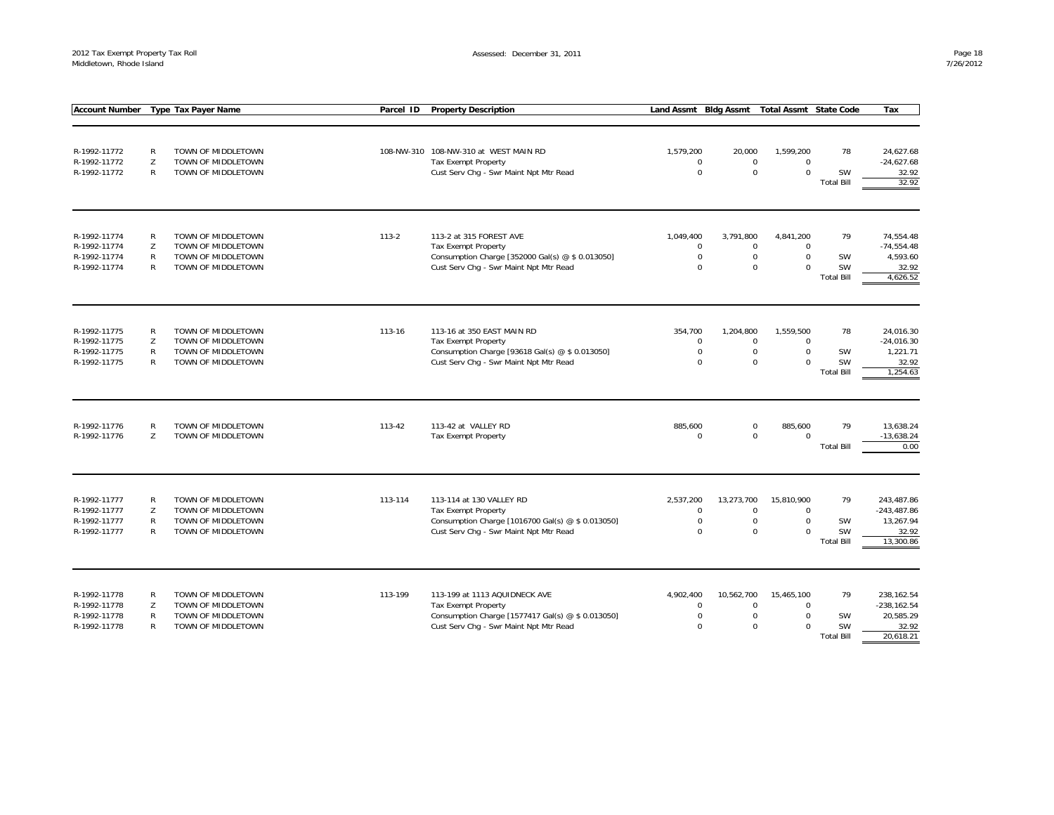| <b>Account Number</b>                                        | <b>Type Tax Payer Name</b>                                                                               | Parcel ID | <b>Property Description</b>                                                                                                                                | Land Assmt Bldg Assmt                               |                                                         | <b>Total Assmt State Code</b>                     |                                                   | Tax                                                             |
|--------------------------------------------------------------|----------------------------------------------------------------------------------------------------------|-----------|------------------------------------------------------------------------------------------------------------------------------------------------------------|-----------------------------------------------------|---------------------------------------------------------|---------------------------------------------------|---------------------------------------------------|-----------------------------------------------------------------|
|                                                              |                                                                                                          |           |                                                                                                                                                            |                                                     |                                                         |                                                   |                                                   |                                                                 |
| R-1992-11772<br>R-1992-11772<br>R-1992-11772                 | R<br>TOWN OF MIDDLETOWN<br>Z<br>TOWN OF MIDDLETOWN<br>R<br>TOWN OF MIDDLETOWN                            |           | 108-NW-310 108-NW-310 at WEST MAIN RD<br>Tax Exempt Property<br>Cust Serv Chg - Swr Maint Npt Mtr Read                                                     | 1,579,200<br>$\mathbf 0$<br>$\mathbf 0$             | 20,000<br>$\mathbf 0$<br>$\mathbf 0$                    | 1,599,200<br>$\mathbf 0$<br>$\Omega$              | 78<br>SW<br><b>Total Bill</b>                     | 24,627.68<br>$-24,627.68$<br>32.92<br>32.92                     |
| R-1992-11774<br>R-1992-11774<br>R-1992-11774<br>R-1992-11774 | R<br>TOWN OF MIDDLETOWN<br>Z<br>TOWN OF MIDDLETOWN<br>R<br>TOWN OF MIDDLETOWN<br>R<br>TOWN OF MIDDLETOWN | $113 - 2$ | 113-2 at 315 FOREST AVE<br>Tax Exempt Property<br>Consumption Charge [352000 Gal(s) @ \$ 0.013050]<br>Cust Serv Chg - Swr Maint Npt Mtr Read               | 1,049,400<br>$\mathbf 0$<br>$\mathbf 0$<br>$\Omega$ | 3,791,800<br>$\mathbf 0$<br>$\mathsf{O}$<br>$\mathbf 0$ | 4,841,200<br>$\Omega$<br>$\mathbf 0$<br>$\Omega$  | 79<br><b>SW</b><br><b>SW</b><br><b>Total Bill</b> | 74,554.48<br>$-74,554.48$<br>4,593.60<br>32.92<br>4,626.52      |
| R-1992-11775<br>R-1992-11775<br>R-1992-11775<br>R-1992-11775 | TOWN OF MIDDLETOWN<br>R<br>Z<br>TOWN OF MIDDLETOWN<br>R<br>TOWN OF MIDDLETOWN<br>R<br>TOWN OF MIDDLETOWN | 113-16    | 113-16 at 350 EAST MAIN RD<br><b>Tax Exempt Property</b><br>Consumption Charge [93618 Gal(s) @ \$ 0.013050]<br>Cust Serv Chg - Swr Maint Npt Mtr Read      | 354,700<br>$\mathbf 0$<br>$\mathbf 0$<br>$\Omega$   | 1,204,800<br>$\mathbf 0$<br>$\mathbf 0$<br>$\mathbf 0$  | 1,559,500<br>$\mathbf 0$<br>$\Omega$<br>$\Omega$  | 78<br>SW<br><b>SW</b><br><b>Total Bill</b>        | 24,016.30<br>$-24,016.30$<br>1,221.71<br>32.92<br>1,254.63      |
| R-1992-11776<br>R-1992-11776                                 | R<br>TOWN OF MIDDLETOWN<br>Z<br>TOWN OF MIDDLETOWN                                                       | 113-42    | 113-42 at VALLEY RD<br><b>Tax Exempt Property</b>                                                                                                          | 885,600<br>$\mathbf 0$                              | $\mathsf 0$<br>$\mathbf 0$                              | 885,600<br>$\Omega$                               | 79<br><b>Total Bill</b>                           | 13,638.24<br>$-13,638.24$<br>0.00                               |
| R-1992-11777<br>R-1992-11777<br>R-1992-11777<br>R-1992-11777 | R<br>TOWN OF MIDDLETOWN<br>Z<br>TOWN OF MIDDLETOWN<br>R<br>TOWN OF MIDDLETOWN<br>R<br>TOWN OF MIDDLETOWN | 113-114   | 113-114 at 130 VALLEY RD<br><b>Tax Exempt Property</b><br>Consumption Charge [1016700 Gal(s) @ \$ 0.013050]<br>Cust Serv Chg - Swr Maint Npt Mtr Read      | 2,537,200<br>$\mathbf 0$<br>$\mathbf 0$<br>$\Omega$ | 13,273,700<br>$\mathbf 0$<br>$\mathbf 0$<br>$\mathbf 0$ | 15,810,900<br>$\Omega$<br>$\mathbf 0$<br>$\Omega$ | 79<br>SW<br><b>SW</b><br><b>Total Bill</b>        | 243,487.86<br>$-243,487.86$<br>13,267.94<br>32.92<br>13,300.86  |
| R-1992-11778<br>R-1992-11778<br>R-1992-11778<br>R-1992-11778 | R<br>TOWN OF MIDDLETOWN<br>Z<br>TOWN OF MIDDLETOWN<br>R<br>TOWN OF MIDDLETOWN<br>R<br>TOWN OF MIDDLETOWN | 113-199   | 113-199 at 1113 AQUIDNECK AVE<br><b>Tax Exempt Property</b><br>Consumption Charge [1577417 Gal(s) @ \$ 0.013050]<br>Cust Serv Chg - Swr Maint Npt Mtr Read | 4,902,400<br>$\mathbf 0$<br>$\mathbf 0$<br>$\Omega$ | 10,562,700<br>$\mathbf 0$<br>$\mathbf 0$<br>$\Omega$    | 15,465,100<br>$\mathbf 0$<br>$\Omega$<br>$\Omega$ | 79<br>SW<br><b>SW</b><br><b>Total Bill</b>        | 238,162.54<br>$-238, 162.54$<br>20,585.29<br>32.92<br>20,618.21 |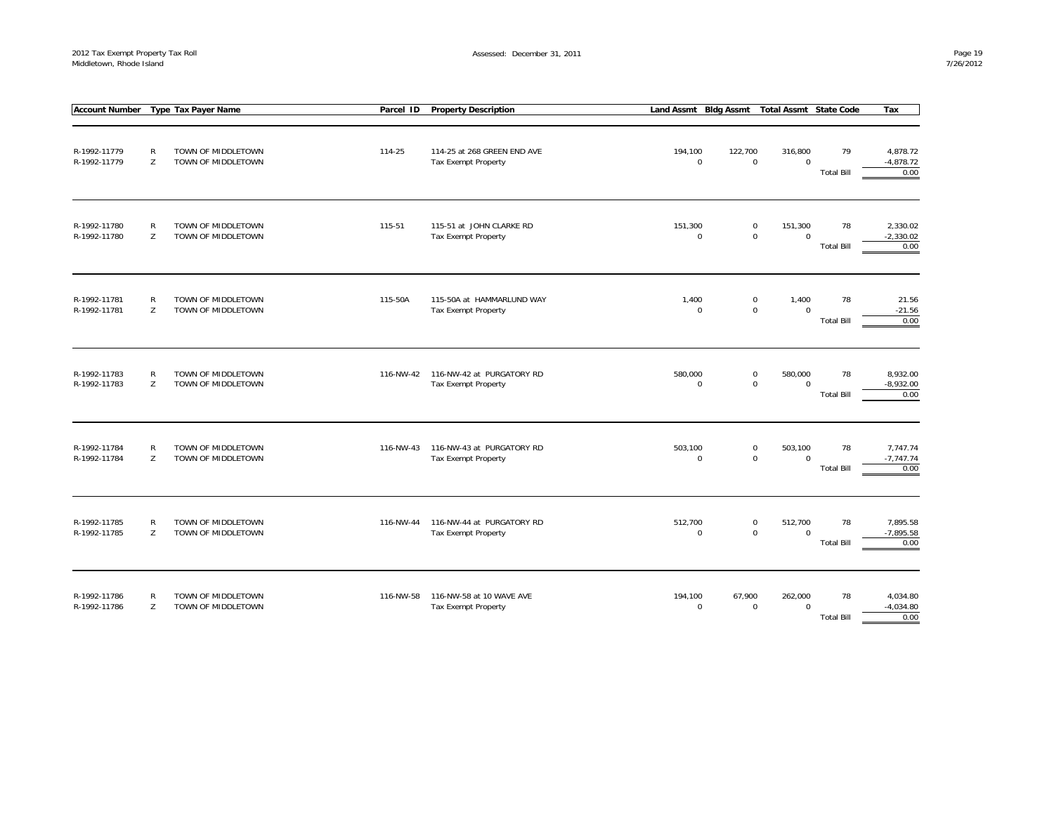|                              |                   | Account Number Type Tax Payer Name       | Parcel ID | <b>Property Description</b>                               |                        |         | Land Assmt Bldg Assmt Total Assmt State Code         |                         | Tax                             |
|------------------------------|-------------------|------------------------------------------|-----------|-----------------------------------------------------------|------------------------|---------|------------------------------------------------------|-------------------------|---------------------------------|
| R-1992-11779<br>R-1992-11779 | $\mathsf{R}$<br>Z | TOWN OF MIDDLETOWN<br>TOWN OF MIDDLETOWN | 114-25    | 114-25 at 268 GREEN END AVE<br><b>Tax Exempt Property</b> | 194,100<br>$\mathbf 0$ | 122,700 | 316,800<br>$\mathbf 0$<br>$\mathbf 0$                | 79<br><b>Total Bill</b> | 4,878.72<br>$-4,878.72$<br>0.00 |
| R-1992-11780<br>R-1992-11780 | ${\sf R}$<br>Z    | TOWN OF MIDDLETOWN<br>TOWN OF MIDDLETOWN | 115-51    | 115-51 at JOHN CLARKE RD<br><b>Tax Exempt Property</b>    | 151,300<br>$\mathbf 0$ |         | $\mathbf 0$<br>151,300<br>$\mathsf 0$<br>$\mathbf 0$ | 78<br><b>Total Bill</b> | 2,330.02<br>$-2,330.02$<br>0.00 |
| R-1992-11781<br>R-1992-11781 | $\mathsf{R}$<br>Z | TOWN OF MIDDLETOWN<br>TOWN OF MIDDLETOWN | 115-50A   | 115-50A at HAMMARLUND WAY<br><b>Tax Exempt Property</b>   | 1,400<br>$\mathbf 0$   |         | $\mathbf 0$<br>1,400<br>$\mathsf 0$<br>$\mathbf 0$   | 78<br><b>Total Bill</b> | 21.56<br>$-21.56$<br>0.00       |
| R-1992-11783<br>R-1992-11783 | $\mathsf{R}$<br>Z | TOWN OF MIDDLETOWN<br>TOWN OF MIDDLETOWN | 116-NW-42 | 116-NW-42 at PURGATORY RD<br>Tax Exempt Property          | 580,000<br>$\Omega$    |         | 580,000<br>$\mathbf 0$<br>$\mathsf 0$<br>$\Omega$    | 78<br><b>Total Bill</b> | 8,932.00<br>$-8,932.00$<br>0.00 |
| R-1992-11784<br>R-1992-11784 | ${\sf R}$<br>Z    | TOWN OF MIDDLETOWN<br>TOWN OF MIDDLETOWN | 116-NW-43 | 116-NW-43 at PURGATORY RD<br><b>Tax Exempt Property</b>   | 503,100<br>$\mathbf 0$ |         | $\mathbf 0$<br>503,100<br>$\mathsf 0$<br>$\Omega$    | 78<br><b>Total Bill</b> | 7,747.74<br>$-7,747.74$<br>0.00 |
| R-1992-11785<br>R-1992-11785 | $\mathsf{R}$<br>Z | TOWN OF MIDDLETOWN<br>TOWN OF MIDDLETOWN | 116-NW-44 | 116-NW-44 at PURGATORY RD<br>Tax Exempt Property          | 512,700<br>$\mathbf 0$ |         | $\mathbf 0$<br>512,700<br>$\mathsf 0$<br>$\mathbf 0$ | 78<br><b>Total Bill</b> | 7,895.58<br>$-7,895.58$<br>0.00 |
| R-1992-11786<br>R-1992-11786 | R<br>Z            | TOWN OF MIDDLETOWN<br>TOWN OF MIDDLETOWN | 116-NW-58 | 116-NW-58 at 10 WAVE AVE<br>Tax Exempt Property           | 194,100<br>$\Omega$    | 67,900  | 262,000<br>$\mathbf 0$<br>$\Omega$                   | 78<br><b>Total Bill</b> | 4,034.80<br>$-4,034.80$<br>0.00 |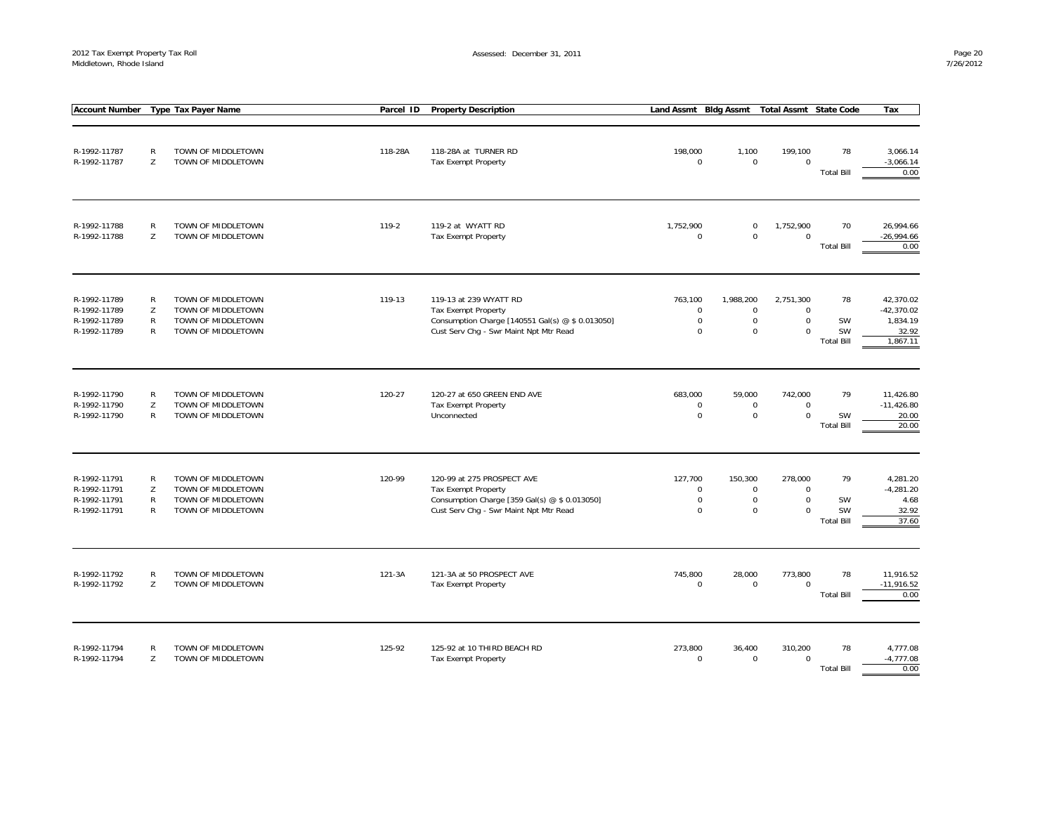| <b>Account Number</b>                                        | <b>Type Tax Payer Name</b>             |                                                                                      | <b>Property Description</b><br>Parcel ID |                                                                                                                                                    | <b>Land Assmt</b>                                    | <b>Bldg Assmt</b><br><b>State Code</b><br><b>Total Assmt</b> |                                                        |                                            | Tax                                                        |
|--------------------------------------------------------------|----------------------------------------|--------------------------------------------------------------------------------------|------------------------------------------|----------------------------------------------------------------------------------------------------------------------------------------------------|------------------------------------------------------|--------------------------------------------------------------|--------------------------------------------------------|--------------------------------------------|------------------------------------------------------------|
| R-1992-11787<br>R-1992-11787                                 | $\mathsf R$<br>Z                       | TOWN OF MIDDLETOWN<br>TOWN OF MIDDLETOWN                                             | 118-28A                                  | 118-28A at TURNER RD<br><b>Tax Exempt Property</b>                                                                                                 | 198,000<br>$\mathbf 0$                               | 1,100<br>$\mathbf 0$                                         | 199,100<br>$\mathbf 0$                                 | 78<br><b>Total Bill</b>                    | 3,066.14<br>$-3,066.14$<br>0.00                            |
| R-1992-11788<br>R-1992-11788                                 | R<br>Z                                 | TOWN OF MIDDLETOWN<br>TOWN OF MIDDLETOWN                                             | $119-2$                                  | 119-2 at WYATT RD<br><b>Tax Exempt Property</b>                                                                                                    | 1,752,900<br>$\Omega$                                | $\mathbf 0$<br>$\mathbf 0$                                   | 1,752,900<br>$\Omega$                                  | 70<br><b>Total Bill</b>                    | 26,994.66<br>$-26,994.66$<br>0.00                          |
| R-1992-11789<br>R-1992-11789<br>R-1992-11789<br>R-1992-11789 | R<br>Z<br>$\mathsf{R}$<br>$\mathsf{R}$ | TOWN OF MIDDLETOWN<br>TOWN OF MIDDLETOWN<br>TOWN OF MIDDLETOWN<br>TOWN OF MIDDLETOWN | 119-13                                   | 119-13 at 239 WYATT RD<br><b>Tax Exempt Property</b><br>Consumption Charge [140551 Gal(s) @ \$ 0.013050]<br>Cust Serv Chg - Swr Maint Npt Mtr Read | 763,100<br>$\mathbf 0$<br>$\mathbf 0$<br>$\mathbf 0$ | 1,988,200<br>$\mathbf 0$<br>$\mathbf 0$<br>$\mathbf 0$       | 2,751,300<br>$\mathbf 0$<br>$\mathbf 0$<br>$\mathbf 0$ | 78<br>SW<br>SW<br><b>Total Bill</b>        | 42,370.02<br>$-42,370.02$<br>1,834.19<br>32.92<br>1,867.11 |
| R-1992-11790<br>R-1992-11790<br>R-1992-11790                 | R<br>Z<br>R                            | TOWN OF MIDDLETOWN<br>TOWN OF MIDDLETOWN<br>TOWN OF MIDDLETOWN                       | 120-27                                   | 120-27 at 650 GREEN END AVE<br>Tax Exempt Property<br>Unconnected                                                                                  | 683,000<br>$\mathbf 0$<br>$\mathbf 0$                | 59.000<br>$\mathbf 0$<br>$\mathbf 0$                         | 742,000<br>$\Omega$<br>$\mathbf 0$                     | 79<br>SW<br><b>Total Bill</b>              | 11,426.80<br>$-11,426.80$<br>20.00<br>20.00                |
| R-1992-11791<br>R-1992-11791<br>R-1992-11791<br>R-1992-11791 | R<br>Z<br>R<br>R                       | TOWN OF MIDDLETOWN<br>TOWN OF MIDDLETOWN<br>TOWN OF MIDDLETOWN<br>TOWN OF MIDDLETOWN | 120-99                                   | 120-99 at 275 PROSPECT AVE<br>Tax Exempt Property<br>Consumption Charge [359 Gal(s) @ \$ 0.013050]<br>Cust Serv Chg - Swr Maint Npt Mtr Read       | 127,700<br>$\mathbf 0$<br>$\mathbf 0$<br>$\mathbf 0$ | 150,300<br>$\mathbf 0$<br>$\mathbf 0$<br>$\mathbf 0$         | 278,000<br>$\mathbf 0$<br>$\mathbf 0$<br>$\Omega$      | 79<br>SW<br><b>SW</b><br><b>Total Bill</b> | 4,281.20<br>$-4,281.20$<br>4.68<br>32.92<br>37.60          |
| R-1992-11792<br>R-1992-11792                                 | R<br>Z                                 | TOWN OF MIDDLETOWN<br>TOWN OF MIDDLETOWN                                             | 121-3A                                   | 121-3A at 50 PROSPECT AVE<br>Tax Exempt Property                                                                                                   | 745,800<br>$\mathbf 0$                               | 28,000<br>$\mathbf 0$                                        | 773,800<br>$\Omega$                                    | 78<br><b>Total Bill</b>                    | 11,916.52<br>$-11,916.52$<br>0.00                          |
| R-1992-11794<br>R-1992-11794                                 | $\mathsf{R}$<br>Z                      | TOWN OF MIDDLETOWN<br>TOWN OF MIDDLETOWN                                             | 125-92                                   | 125-92 at 10 THIRD BEACH RD<br>Tax Exempt Property                                                                                                 | 273,800<br>$\mathbf 0$                               | 36,400<br>$\mathbf 0$                                        | 310,200<br>$\Omega$                                    | 78<br><b>Total Bill</b>                    | 4,777.08<br>$-4,777.08$<br>0.00                            |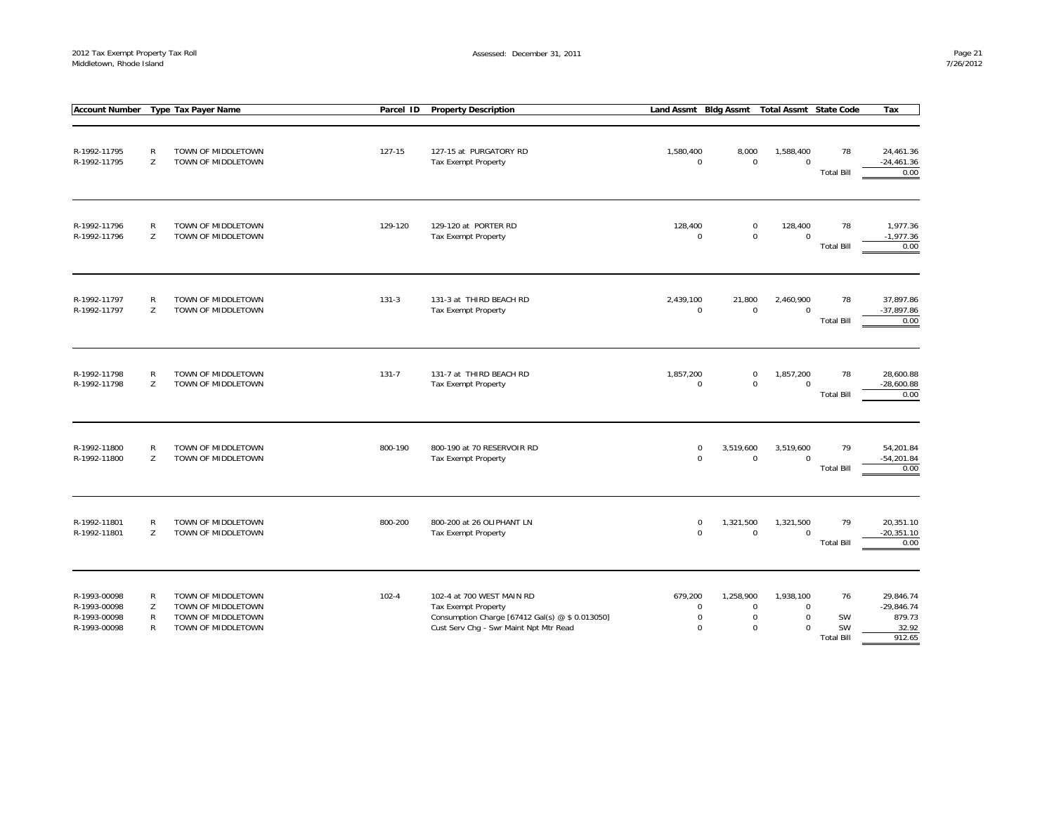|                                                              |                                                   | Account Number Type Tax Payer Name                                                   |           | Parcel ID | <b>Property Description</b>                                                                                                                          | Land Assmt Bldg Assmt                                     |                                                        | <b>Total Assmt State Code</b>                       |                                     | Tax                                                    |
|--------------------------------------------------------------|---------------------------------------------------|--------------------------------------------------------------------------------------|-----------|-----------|------------------------------------------------------------------------------------------------------------------------------------------------------|-----------------------------------------------------------|--------------------------------------------------------|-----------------------------------------------------|-------------------------------------|--------------------------------------------------------|
| R-1992-11795<br>R-1992-11795                                 | ${\sf R}$<br>Z                                    | TOWN OF MIDDLETOWN<br>TOWN OF MIDDLETOWN                                             |           | 127-15    | 127-15 at PURGATORY RD<br>Tax Exempt Property                                                                                                        | 1,580,400<br>$\mathbf 0$                                  | 8,000<br>$\mathbf 0$                                   | 1,588,400<br>$\mathbf 0$                            | 78<br><b>Total Bill</b>             | 24,461.36<br>$-24,461.36$<br>0.00                      |
| R-1992-11796<br>R-1992-11796                                 | $\mathsf{R}$<br>Z                                 | TOWN OF MIDDLETOWN<br>TOWN OF MIDDLETOWN                                             |           | 129-120   | 129-120 at PORTER RD<br>Tax Exempt Property                                                                                                          | 128,400<br>$\boldsymbol{0}$                               | $\mathsf 0$<br>$\mathsf 0$                             | 128,400<br>$\mathbf 0$                              | 78<br><b>Total Bill</b>             | 1,977.36<br>$-1,977.36$<br>0.00                        |
| R-1992-11797<br>R-1992-11797                                 | $\mathsf{R}$<br>Z                                 | TOWN OF MIDDLETOWN<br>TOWN OF MIDDLETOWN                                             | $131-3$   |           | 131-3 at THIRD BEACH RD<br><b>Tax Exempt Property</b>                                                                                                | 2,439,100<br>$\mathbf 0$                                  | 21,800<br>$\mathbf 0$                                  | 2,460,900<br>$\mathbf 0$                            | 78<br><b>Total Bill</b>             | 37,897.86<br>$-37,897.86$<br>0.00                      |
| R-1992-11798<br>R-1992-11798                                 | ${\sf R}$<br>Z                                    | TOWN OF MIDDLETOWN<br>TOWN OF MIDDLETOWN                                             | $131 - 7$ |           | 131-7 at THIRD BEACH RD<br>Tax Exempt Property                                                                                                       | 1,857,200<br>$\boldsymbol{0}$                             | $\mathsf 0$<br>$\mathbf 0$                             | 1,857,200<br>$\mathbf 0$                            | 78<br><b>Total Bill</b>             | 28,600.88<br>$-28,600.88$<br>0.00                      |
| R-1992-11800<br>R-1992-11800                                 | $\mathsf{R}$<br>Z                                 | TOWN OF MIDDLETOWN<br>TOWN OF MIDDLETOWN                                             |           | 800-190   | 800-190 at 70 RESERVOIR RD<br>Tax Exempt Property                                                                                                    | $\mathbf 0$<br>$\mathbf 0$                                | 3,519,600<br>$\mathbf 0$                               | 3,519,600<br>$\mathbf 0$                            | 79<br><b>Total Bill</b>             | 54,201.84<br>$-54,201.84$<br>0.00                      |
| R-1992-11801<br>R-1992-11801                                 | $\mathsf{R}$<br>Z                                 | TOWN OF MIDDLETOWN<br>TOWN OF MIDDLETOWN                                             |           | 800-200   | 800-200 at 26 OLIPHANT LN<br>Tax Exempt Property                                                                                                     | $\mathbf 0$<br>$\mathbf 0$                                | 1,321,500<br>$\mathsf 0$                               | 1,321,500<br>$\mathbf 0$                            | 79<br><b>Total Bill</b>             | 20,351.10<br>$-20,351.10$<br>0.00                      |
| R-1993-00098<br>R-1993-00098<br>R-1993-00098<br>R-1993-00098 | $\mathsf{R}$<br>Z<br>$\mathsf{R}$<br>$\mathsf{R}$ | TOWN OF MIDDLETOWN<br>TOWN OF MIDDLETOWN<br>TOWN OF MIDDLETOWN<br>TOWN OF MIDDLETOWN | $102 - 4$ |           | 102-4 at 700 WEST MAIN RD<br><b>Tax Exempt Property</b><br>Consumption Charge [67412 Gal(s) @ \$ 0.013050]<br>Cust Serv Chg - Swr Maint Npt Mtr Read | 679,200<br>$\mathbf 0$<br>$\boldsymbol{0}$<br>$\mathbf 0$ | 1,258,900<br>$\mathbf 0$<br>$\mathbf 0$<br>$\mathbf 0$ | 1,938,100<br>$\mathbf 0$<br>$\mathbf 0$<br>$\Omega$ | 76<br>SW<br>SW<br><b>Total Bill</b> | 29,846.74<br>$-29,846.74$<br>879.73<br>32.92<br>912.65 |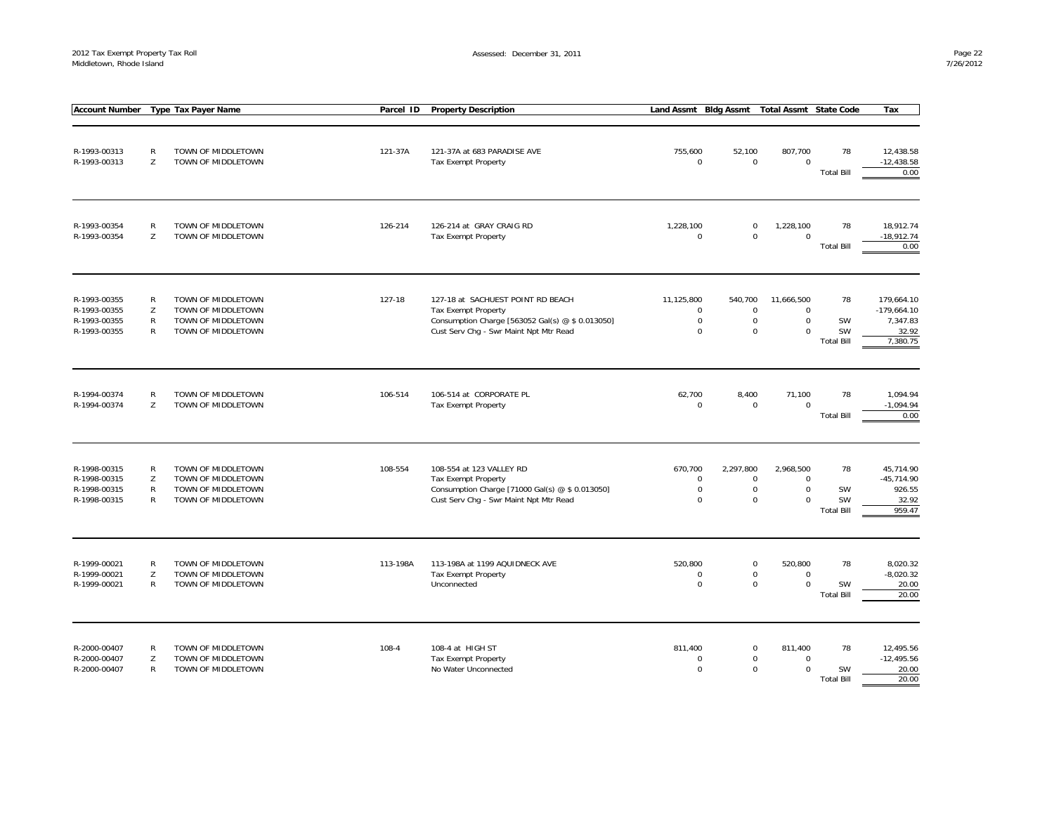| <b>Account Number</b>                                        |                                        | Type Tax Payer Name                                                                  |        | Parcel ID | <b>Property Description</b>                                                                                                                                   | Land Assmt Bldg Assmt                                     |                                                        | <b>Total Assmt State Code</b>                        |                                     | Tax                                                          |
|--------------------------------------------------------------|----------------------------------------|--------------------------------------------------------------------------------------|--------|-----------|---------------------------------------------------------------------------------------------------------------------------------------------------------------|-----------------------------------------------------------|--------------------------------------------------------|------------------------------------------------------|-------------------------------------|--------------------------------------------------------------|
|                                                              |                                        |                                                                                      |        |           |                                                                                                                                                               |                                                           |                                                        |                                                      |                                     |                                                              |
| R-1993-00313<br>R-1993-00313                                 | $\mathsf{R}$<br>Z                      | TOWN OF MIDDLETOWN<br>TOWN OF MIDDLETOWN                                             |        | 121-37A   | 121-37A at 683 PARADISE AVE<br><b>Tax Exempt Property</b>                                                                                                     | 755,600<br>$\mathbf 0$                                    | 52,100<br>$\mathbf 0$                                  | 807,700<br>$\mathbf 0$                               | 78<br><b>Total Bill</b>             | 12,438.58<br>$-12,438.58$<br>0.00                            |
| R-1993-00354<br>R-1993-00354                                 | $\mathsf{R}$<br>Z                      | TOWN OF MIDDLETOWN<br>TOWN OF MIDDLETOWN                                             |        | 126-214   | 126-214 at GRAY CRAIG RD<br><b>Tax Exempt Property</b>                                                                                                        | 1,228,100<br>$\mathbf 0$                                  | $\mathbf 0$<br>$\mathbf 0$                             | 1,228,100<br>$\mathbf 0$                             | 78<br><b>Total Bill</b>             | 18.912.74<br>$-18,912.74$<br>0.00                            |
| R-1993-00355<br>R-1993-00355<br>R-1993-00355<br>R-1993-00355 | R<br>Z<br>$\mathsf{R}$<br>$\mathsf{R}$ | TOWN OF MIDDLETOWN<br>TOWN OF MIDDLETOWN<br>TOWN OF MIDDLETOWN<br>TOWN OF MIDDLETOWN | 127-18 |           | 127-18 at SACHUEST POINT RD BEACH<br><b>Tax Exempt Property</b><br>Consumption Charge [563052 Gal(s) @ \$ 0.013050]<br>Cust Serv Chg - Swr Maint Npt Mtr Read | 11,125,800<br>0<br>$\pmb{0}$<br>$\mathbf 0$               | 540,700<br>$\mathbf 0$<br>$\mathbf 0$<br>$\mathbf 0$   | 11,666,500<br>$\mathbf 0$<br>$\mathbf 0$<br>$\Omega$ | 78<br>SW<br>SW<br><b>Total Bill</b> | 179,664.10<br>$-179,664.10$<br>7,347.83<br>32.92<br>7,380.75 |
| R-1994-00374<br>R-1994-00374                                 | R<br>Z                                 | TOWN OF MIDDLETOWN<br>TOWN OF MIDDLETOWN                                             |        | 106-514   | 106-514 at CORPORATE PL<br>Tax Exempt Property                                                                                                                | 62,700<br>$\mathbf 0$                                     | 8,400<br>$\mathbf 0$                                   | 71,100<br>$\mathbf 0$                                | 78<br><b>Total Bill</b>             | 1,094.94<br>$-1,094.94$<br>0.00                              |
| R-1998-00315<br>R-1998-00315<br>R-1998-00315<br>R-1998-00315 | $\mathsf{R}$<br>Z<br>$\mathsf{R}$<br>R | TOWN OF MIDDLETOWN<br>TOWN OF MIDDLETOWN<br>TOWN OF MIDDLETOWN<br>TOWN OF MIDDLETOWN |        | 108-554   | 108-554 at 123 VALLEY RD<br><b>Tax Exempt Property</b><br>Consumption Charge [71000 Gal(s) @ \$ 0.013050]<br>Cust Serv Chg - Swr Maint Npt Mtr Read           | 670,700<br>$\mathbf 0$<br>$\boldsymbol{0}$<br>$\mathbf 0$ | 2,297,800<br>$\mathbf 0$<br>$\mathbf 0$<br>$\mathbf 0$ | 2,968,500<br>$\mathbf 0$<br>$\bf 0$<br>$\mathbf 0$   | 78<br>SW<br>SW<br><b>Total Bill</b> | 45,714.90<br>$-45,714.90$<br>926.55<br>32.92<br>959.47       |
| R-1999-00021<br>R-1999-00021<br>R-1999-00021                 | R<br>Z<br>R                            | TOWN OF MIDDLETOWN<br>TOWN OF MIDDLETOWN<br>TOWN OF MIDDLETOWN                       |        | 113-198A  | 113-198A at 1199 AQUIDNECK AVE<br><b>Tax Exempt Property</b><br>Unconnected                                                                                   | 520,800<br>$\mathbf 0$<br>$\mathbf 0$                     | $\mathbf 0$<br>$\mathsf 0$<br>$\mathbf 0$              | 520,800<br>$\mathbf 0$<br>$\mathbf 0$                | 78<br>SW<br><b>Total Bill</b>       | 8,020.32<br>$-8,020.32$<br>20.00<br>20.00                    |
| R-2000-00407<br>R-2000-00407<br>R-2000-00407                 | R<br>Z<br>R                            | TOWN OF MIDDLETOWN<br>TOWN OF MIDDLETOWN<br>TOWN OF MIDDLETOWN                       | 108-4  |           | 108-4 at HIGH ST<br><b>Tax Exempt Property</b><br>No Water Unconnected                                                                                        | 811.400<br>0<br>$\Omega$                                  | $\mathbf 0$<br>$\mathbf 0$<br>$\Omega$                 | 811,400<br>$\mathbf 0$<br>$\Omega$                   | 78<br>SW<br><b>Total Bill</b>       | 12.495.56<br>$-12,495.56$<br>20.00<br>20.00                  |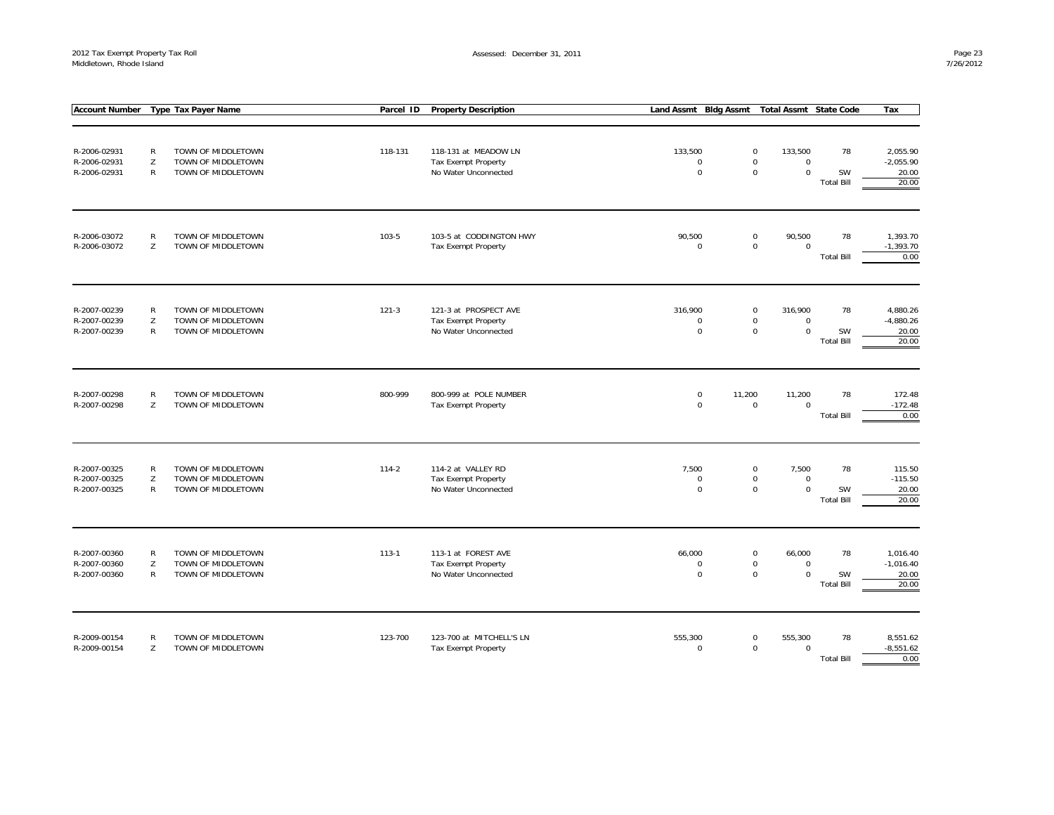|                                              |                                   | <b>Account Number</b> Type Tax Payer Name                      | Parcel ID | <b>Property Description</b>                                                | Land Assmt Bldg Assmt                 | <b>Total Assmt State Code</b>                                                           |                               | Tax                                       |
|----------------------------------------------|-----------------------------------|----------------------------------------------------------------|-----------|----------------------------------------------------------------------------|---------------------------------------|-----------------------------------------------------------------------------------------|-------------------------------|-------------------------------------------|
| R-2006-02931<br>R-2006-02931<br>R-2006-02931 | $\mathsf{R}$<br>Z<br>R            | TOWN OF MIDDLETOWN<br>TOWN OF MIDDLETOWN<br>TOWN OF MIDDLETOWN | 118-131   | 118-131 at MEADOW LN<br><b>Tax Exempt Property</b><br>No Water Unconnected | 133,500<br>$\mathbf 0$<br>$\mathbf 0$ | $\mathbf 0$<br>133,500<br>$\mathbf 0$<br>$\mathbf 0$<br>$\mathsf 0$<br>$\mathbf 0$      | 78<br>SW<br><b>Total Bill</b> | 2,055.90<br>$-2,055.90$<br>20.00<br>20.00 |
| R-2006-03072<br>R-2006-03072                 | $\mathsf{R}$<br>Z                 | TOWN OF MIDDLETOWN<br>TOWN OF MIDDLETOWN                       | 103-5     | 103-5 at CODDINGTON HWY<br>Tax Exempt Property                             | 90,500<br>$\mathbf 0$                 | $\pmb{0}$<br>90,500<br>$\mathsf 0$<br>$\mathbf 0$                                       | 78<br><b>Total Bill</b>       | 1,393.70<br>$-1,393.70$<br>0.00           |
| R-2007-00239<br>R-2007-00239<br>R-2007-00239 | $\mathsf{R}$<br>Z<br>$\mathsf{R}$ | TOWN OF MIDDLETOWN<br>TOWN OF MIDDLETOWN<br>TOWN OF MIDDLETOWN | $121-3$   | 121-3 at PROSPECT AVE<br>Tax Exempt Property<br>No Water Unconnected       | 316.900<br>$\mathbf 0$<br>$\mathbf 0$ | $\mathsf 0$<br>316,900<br>$\mathbf 0$<br>$\boldsymbol{0}$<br>$\mathsf 0$<br>$\mathbf 0$ | 78<br>SW<br><b>Total Bill</b> | 4,880.26<br>$-4,880.26$<br>20.00<br>20.00 |
| R-2007-00298<br>R-2007-00298                 | R<br>Z                            | TOWN OF MIDDLETOWN<br>TOWN OF MIDDLETOWN                       | 800-999   | 800-999 at POLE NUMBER<br>Tax Exempt Property                              | $\mathbf 0$<br>11,200<br>$\mathbf 0$  | 11,200<br>$\mathbf 0$<br>$\mathbf 0$                                                    | 78<br><b>Total Bill</b>       | 172.48<br>$-172.48$<br>0.00               |
| R-2007-00325<br>R-2007-00325<br>R-2007-00325 | R<br>Z<br>R                       | TOWN OF MIDDLETOWN<br>TOWN OF MIDDLETOWN<br>TOWN OF MIDDLETOWN | $114-2$   | 114-2 at VALLEY RD<br><b>Tax Exempt Property</b><br>No Water Unconnected   | 7,500<br>$\Omega$<br>$\mathbf 0$      | $\pmb{0}$<br>7,500<br>$\mathbf 0$<br>$\mathbf 0$<br>$\mathbf 0$<br>$\mathbf 0$          | 78<br>SW<br><b>Total Bill</b> | 115.50<br>$-115.50$<br>20.00<br>20.00     |
| R-2007-00360<br>R-2007-00360<br>R-2007-00360 | $\mathsf{R}$<br>Z<br>$\mathsf{R}$ | TOWN OF MIDDLETOWN<br>TOWN OF MIDDLETOWN<br>TOWN OF MIDDLETOWN | $113 - 1$ | 113-1 at FOREST AVE<br>Tax Exempt Property<br>No Water Unconnected         | 66,000<br>0<br>$\mathbf 0$            | $\pmb{0}$<br>66,000<br>$\boldsymbol{0}$<br>0<br>$\mathbf 0$<br>$\mathbf 0$              | 78<br>SW<br><b>Total Bill</b> | 1,016.40<br>$-1,016.40$<br>20.00<br>20.00 |
| R-2009-00154<br>R-2009-00154                 | R<br>Z                            | TOWN OF MIDDLETOWN<br>TOWN OF MIDDLETOWN                       | 123-700   | 123-700 at MITCHELL'S LN<br>Tax Exempt Property                            | 555,300<br>$\mathbf 0$                | $\mathbf 0$<br>555,300<br>$\mathbf 0$<br>$\mathbf 0$                                    | 78<br><b>Total Bill</b>       | 8,551.62<br>$-8,551.62$<br>0.00           |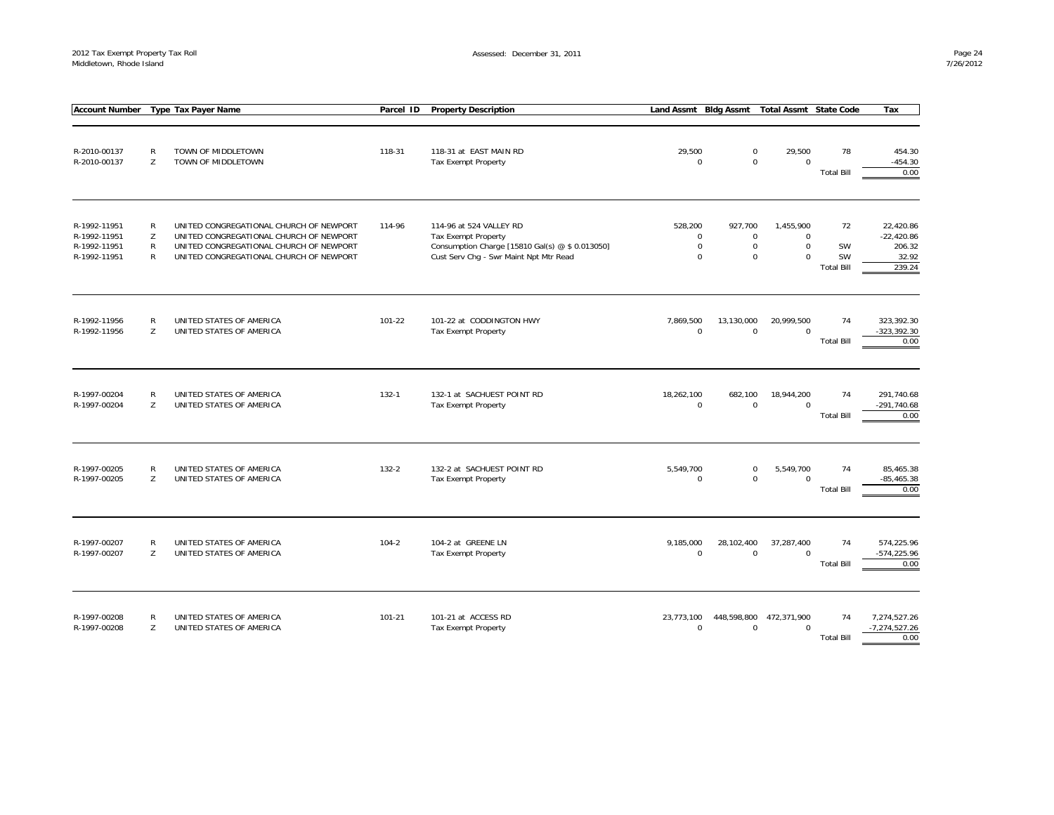| <b>Account Number</b>                                        |                   | <b>Type Tax Payer Name</b>                                                                                                                                               | Parcel ID  | <b>Property Description</b>                                                                                                                        | Land Assmt Bldg Assmt                                     |                                                    | <b>Total Assmt State Code</b>                        |                                     | Tax                                                    |
|--------------------------------------------------------------|-------------------|--------------------------------------------------------------------------------------------------------------------------------------------------------------------------|------------|----------------------------------------------------------------------------------------------------------------------------------------------------|-----------------------------------------------------------|----------------------------------------------------|------------------------------------------------------|-------------------------------------|--------------------------------------------------------|
| R-2010-00137<br>R-2010-00137                                 | R<br>Z            | TOWN OF MIDDLETOWN<br>TOWN OF MIDDLETOWN                                                                                                                                 | 118-31     | 118-31 at EAST MAIN RD<br>Tax Exempt Property                                                                                                      | 29,500<br>$\boldsymbol{0}$                                | $\mathbf 0$<br>$\mathbf 0$                         | 29,500<br>$\mathbf 0$                                | 78<br><b>Total Bill</b>             | 454.30<br>$-454.30$<br>0.00                            |
| R-1992-11951<br>R-1992-11951<br>R-1992-11951<br>R-1992-11951 | R<br>Z<br>R<br>R  | UNITED CONGREGATIONAL CHURCH OF NEWPORT<br>UNITED CONGREGATIONAL CHURCH OF NEWPORT<br>UNITED CONGREGATIONAL CHURCH OF NEWPORT<br>UNITED CONGREGATIONAL CHURCH OF NEWPORT | 114-96     | 114-96 at 524 VALLEY RD<br><b>Tax Exempt Property</b><br>Consumption Charge [15810 Gal(s) @ \$ 0.013050]<br>Cust Serv Chg - Swr Maint Npt Mtr Read | 528,200<br>$\mathbf 0$<br>$\boldsymbol{0}$<br>$\mathbf 0$ | 927,700<br>$\mathbf 0$<br>$\pmb{0}$<br>$\mathbf 0$ | 1,455,900<br>$\mathbf 0$<br>$\pmb{0}$<br>$\mathbf 0$ | 72<br>SW<br>SW<br><b>Total Bill</b> | 22,420.86<br>$-22,420.86$<br>206.32<br>32.92<br>239.24 |
| R-1992-11956<br>R-1992-11956                                 | R<br>Z            | UNITED STATES OF AMERICA<br>UNITED STATES OF AMERICA                                                                                                                     | $101 - 22$ | 101-22 at CODDINGTON HWY<br>Tax Exempt Property                                                                                                    | 7,869,500<br>$\mathbf 0$                                  | 13,130,000<br>$\mathbf 0$                          | 20,999,500<br>$\Omega$                               | 74<br><b>Total Bill</b>             | 323,392.30<br>-323,392.30<br>0.00                      |
| R-1997-00204<br>R-1997-00204                                 | R<br>Z            | UNITED STATES OF AMERICA<br>UNITED STATES OF AMERICA                                                                                                                     | $132 - 1$  | 132-1 at SACHUEST POINT RD<br>Tax Exempt Property                                                                                                  | 18,262,100<br>$\mathbf 0$                                 | 682,100<br>$\mathbf 0$                             | 18,944,200<br>$\mathbf 0$                            | 74<br><b>Total Bill</b>             | 291,740.68<br>$-291,740.68$<br>0.00                    |
| R-1997-00205<br>R-1997-00205                                 | R<br>Z            | UNITED STATES OF AMERICA<br>UNITED STATES OF AMERICA                                                                                                                     | 132-2      | 132-2 at SACHUEST POINT RD<br>Tax Exempt Property                                                                                                  | 5,549,700<br>$\mathbf 0$                                  | $\mathbf 0$<br>$\mathbf 0$                         | 5,549,700<br>$\mathbf 0$                             | 74<br><b>Total Bill</b>             | 85,465.38<br>$-85,465.38$<br>0.00                      |
| R-1997-00207<br>R-1997-00207                                 | $\mathsf{R}$<br>Z | UNITED STATES OF AMERICA<br>UNITED STATES OF AMERICA                                                                                                                     | $104 - 2$  | 104-2 at GREENE LN<br>Tax Exempt Property                                                                                                          | 9,185,000<br>$\mathbf 0$                                  | 28,102,400<br>$\mathbf 0$                          | 37,287,400<br>$\Omega$                               | 74<br><b>Total Bill</b>             | 574,225.96<br>-574,225.96<br>0.00                      |
| R-1997-00208<br>R-1997-00208                                 | R<br>Z            | UNITED STATES OF AMERICA<br>UNITED STATES OF AMERICA                                                                                                                     | $101 - 21$ | 101-21 at ACCESS RD<br>Tax Exempt Property                                                                                                         | 23,773,100<br>$\mathbf 0$                                 | 448,598,800<br>$\mathbf 0$                         | 472,371,900<br>$\mathbf 0$                           | 74<br><b>Total Bill</b>             | 7,274,527.26<br>$-7,274,527.26$<br>0.00                |